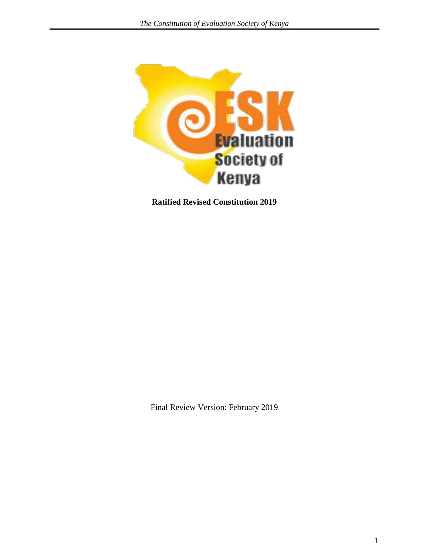

**Ratified Revised Constitution 2019**

Final Review Version: February 2019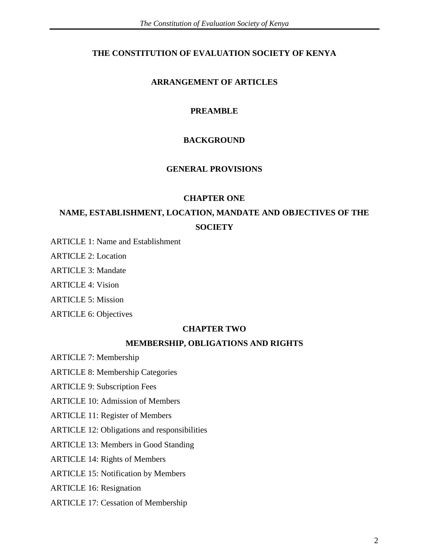### **THE CONSTITUTION OF EVALUATION SOCIETY OF KENYA**

### **ARRANGEMENT OF ARTICLES**

### **PREAMBLE**

### **BACKGROUND**

#### **GENERAL PROVISIONS**

#### **CHAPTER ONE**

# **NAME, ESTABLISHMENT, LOCATION, MANDATE AND OBJECTIVES OF THE SOCIETY**

ARTICLE 1: Name and Establishment

ARTICLE 2: Location

ARTICLE 3: Mandate

ARTICLE 4: Vision

ARTICLE 5: Mission

ARTICLE 6: Objectives

#### **CHAPTER TWO**

#### **MEMBERSHIP, OBLIGATIONS AND RIGHTS**

ARTICLE 7: Membership

ARTICLE 8: Membership Categories

ARTICLE 9: Subscription Fees

ARTICLE 10: Admission of Members

ARTICLE 11: Register of Members

ARTICLE 12: Obligations and responsibilities

ARTICLE 13: Members in Good Standing

ARTICLE 14: Rights of Members

ARTICLE 15: Notification by Members

ARTICLE 16: Resignation

ARTICLE 17: Cessation of Membership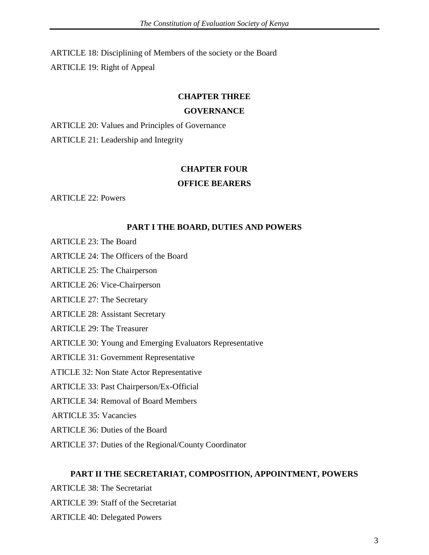ARTICLE 18: Disciplining of Members of the society or the Board ARTICLE 19: Right of Appeal

#### **CHAPTER THREE**

#### **GOVERNANCE**

ARTICLE 20: Values and Principles of Governance ARTICLE 21: Leadership and Integrity

#### **CHAPTER FOUR**

#### **OFFICE BEARERS**

ARTICLE 22: Powers

#### **PART I THE BOARD, DUTIES AND POWERS**

- ARTICLE 23: The Board
- ARTICLE 24: The Officers of the Board
- ARTICLE 25: The Chairperson
- ARTICLE 26: Vice-Chairperson
- ARTICLE 27: The Secretary
- ARTICLE 28: Assistant Secretary
- ARTICLE 29: The Treasurer
- ARTICLE 30: Young and Emerging Evaluators Representative
- ARTICLE 31: Government Representative
- ATICLE 32: Non State Actor Representative
- ARTICLE 33: Past Chairperson/Ex-Official
- ARTICLE 34: Removal of Board Members
- ARTICLE 35: Vacancies
- ARTICLE 36: Duties of the Board
- ARTICLE 37: Duties of the Regional/County Coordinator

#### **PART II THE SECRETARIAT, COMPOSITION, APPOINTMENT, POWERS**

ARTICLE 38: The Secretariat ARTICLE 39: Staff of the Secretariat

ARTICLE 40: Delegated Powers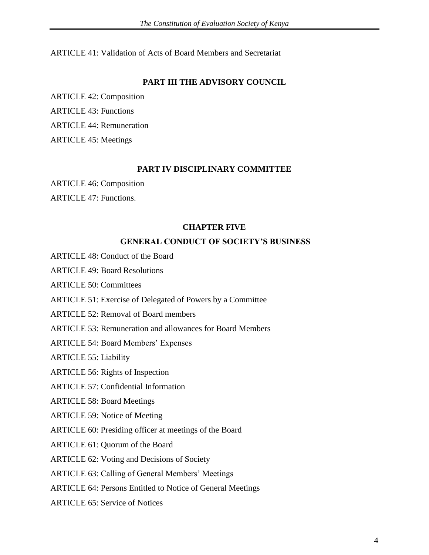ARTICLE 41: Validation of Acts of Board Members and Secretariat

#### **PART III THE ADVISORY COUNCIL**

ARTICLE 42: Composition ARTICLE 43: Functions ARTICLE 44: Remuneration ARTICLE 45: Meetings

#### **PART IV DISCIPLINARY COMMITTEE**

ARTICLE 46: Composition

ARTICLE 47: Functions.

#### **CHAPTER FIVE**

#### **GENERAL CONDUCT OF SOCIETY'S BUSINESS**

- ARTICLE 48: Conduct of the Board
- ARTICLE 49: Board Resolutions

ARTICLE 50: Committees

- ARTICLE 51: Exercise of Delegated of Powers by a Committee
- ARTICLE 52: Removal of Board members
- ARTICLE 53: Remuneration and allowances for Board Members
- ARTICLE 54: Board Members' Expenses

ARTICLE 55: Liability

#### ARTICLE 56: Rights of Inspection

- ARTICLE 57: Confidential Information
- ARTICLE 58: Board Meetings
- ARTICLE 59: Notice of Meeting
- ARTICLE 60: Presiding officer at meetings of the Board
- ARTICLE 61: Quorum of the Board
- ARTICLE 62: Voting and Decisions of Society
- ARTICLE 63: Calling of General Members' Meetings
- ARTICLE 64: Persons Entitled to Notice of General Meetings
- ARTICLE 65: Service of Notices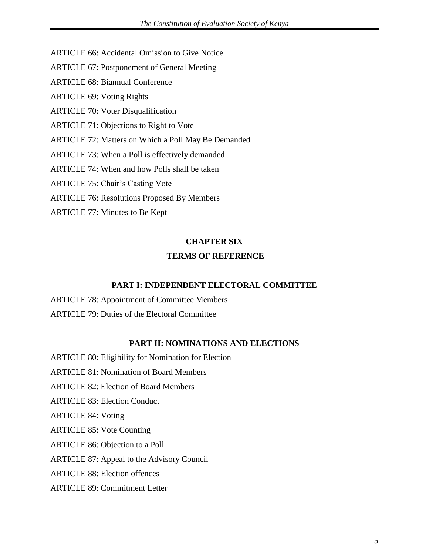- ARTICLE 66: Accidental Omission to Give Notice
- ARTICLE 67: Postponement of General Meeting
- ARTICLE 68: Biannual Conference
- ARTICLE 69: Voting Rights
- ARTICLE 70: Voter Disqualification
- ARTICLE 71: Objections to Right to Vote
- ARTICLE 72: Matters on Which a Poll May Be Demanded
- ARTICLE 73: When a Poll is effectively demanded
- ARTICLE 74: When and how Polls shall be taken
- ARTICLE 75: Chair's Casting Vote
- ARTICLE 76: Resolutions Proposed By Members
- ARTICLE 77: Minutes to Be Kept

#### **CHAPTER SIX**

#### **TERMS OF REFERENCE**

#### **PART I: INDEPENDENT ELECTORAL COMMITTEE**

ARTICLE 78: Appointment of Committee Members ARTICLE 79: Duties of the Electoral Committee

#### **PART II: NOMINATIONS AND ELECTIONS**

- ARTICLE 80: Eligibility for Nomination for Election
- ARTICLE 81: Nomination of Board Members
- ARTICLE 82: Election of Board Members
- ARTICLE 83: Election Conduct
- ARTICLE 84: Voting
- ARTICLE 85: Vote Counting
- ARTICLE 86: Objection to a Poll

#### ARTICLE 87: Appeal to the Advisory Council

- ARTICLE 88: Election offences
- ARTICLE 89: Commitment Letter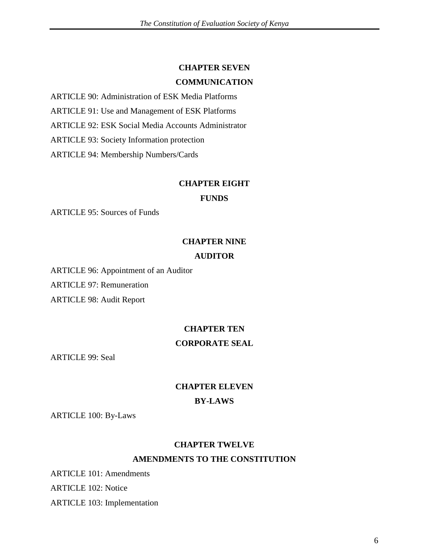#### **CHAPTER SEVEN**

#### **COMMUNICATION**

ARTICLE 90: Administration of ESK Media Platforms

ARTICLE 91: Use and Management of ESK Platforms

ARTICLE 92: ESK Social Media Accounts Administrator

ARTICLE 93: Society Information protection

ARTICLE 94: Membership Numbers/Cards

#### **CHAPTER EIGHT**

#### **FUNDS**

ARTICLE 95: Sources of Funds

#### **CHAPTER NINE**

#### **AUDITOR**

ARTICLE 96: Appointment of an Auditor ARTICLE 97: Remuneration ARTICLE 98: Audit Report

# **CHAPTER TEN CORPORATE SEAL**

ARTICLE 99: Seal

# **CHAPTER ELEVEN BY-LAWS**

ARTICLE 100: By-Laws

# **CHAPTER TWELVE AMENDMENTS TO THE CONSTITUTION**

ARTICLE 101: Amendments ARTICLE 102: Notice ARTICLE 103: Implementation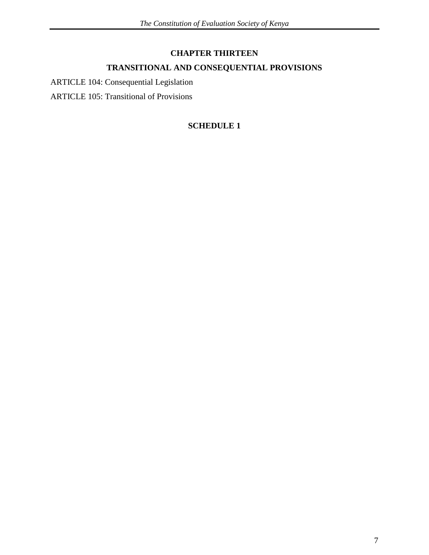# **CHAPTER THIRTEEN**

# **TRANSITIONAL AND CONSEQUENTIAL PROVISIONS**

ARTICLE 104: Consequential Legislation

ARTICLE 105: Transitional of Provisions

# **SCHEDULE 1**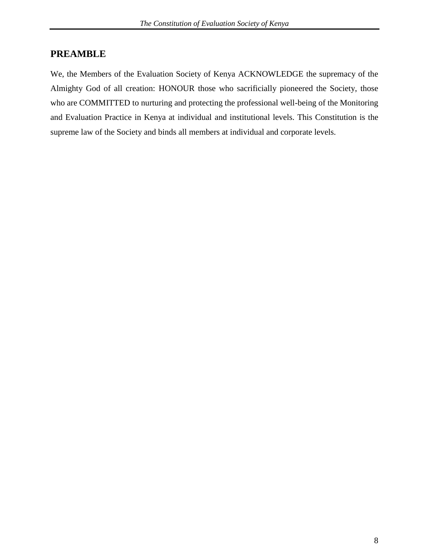# **PREAMBLE**

We, the Members of the Evaluation Society of Kenya ACKNOWLEDGE the supremacy of the Almighty God of all creation: HONOUR those who sacrificially pioneered the Society, those who are COMMITTED to nurturing and protecting the professional well-being of the Monitoring and Evaluation Practice in Kenya at individual and institutional levels. This Constitution is the supreme law of the Society and binds all members at individual and corporate levels.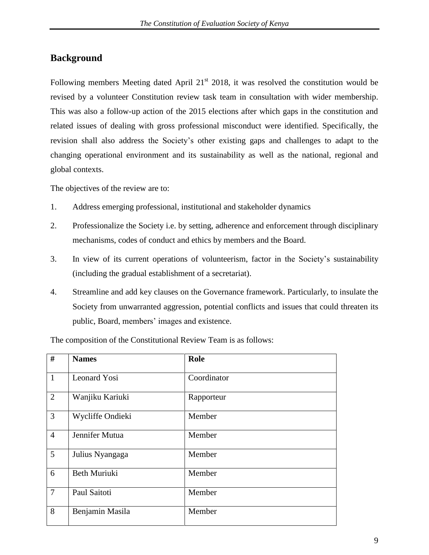# **Background**

Following members Meeting dated April  $21<sup>st</sup>$  2018, it was resolved the constitution would be revised by a volunteer Constitution review task team in consultation with wider membership. This was also a follow-up action of the 2015 elections after which gaps in the constitution and related issues of dealing with gross professional misconduct were identified. Specifically, the revision shall also address the Society's other existing gaps and challenges to adapt to the changing operational environment and its sustainability as well as the national, regional and global contexts.

The objectives of the review are to:

- 1. Address emerging professional, institutional and stakeholder dynamics
- 2. Professionalize the Society i.e. by setting, adherence and enforcement through disciplinary mechanisms, codes of conduct and ethics by members and the Board.
- 3. In view of its current operations of volunteerism, factor in the Society's sustainability (including the gradual establishment of a secretariat).
- 4. Streamline and add key clauses on the Governance framework. Particularly, to insulate the Society from unwarranted aggression, potential conflicts and issues that could threaten its public, Board, members' images and existence.

| #               | <b>Names</b>     | Role        |
|-----------------|------------------|-------------|
| $\mathbf{1}$    | Leonard Yosi     | Coordinator |
| $\overline{2}$  | Wanjiku Kariuki  | Rapporteur  |
| $\overline{3}$  | Wycliffe Ondieki | Member      |
| $\overline{4}$  | Jennifer Mutua   | Member      |
| $5\overline{)}$ | Julius Nyangaga  | Member      |
| 6               | Beth Muriuki     | Member      |
| $\overline{7}$  | Paul Saitoti     | Member      |
| 8               | Benjamin Masila  | Member      |

The composition of the Constitutional Review Team is as follows: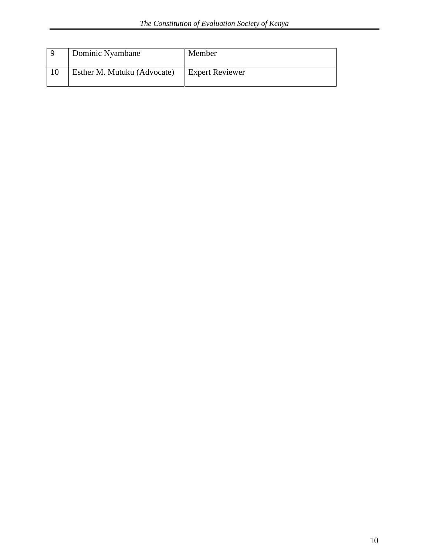| Dominic Nyambane            | Member                 |
|-----------------------------|------------------------|
| Esther M. Mutuku (Advocate) | <b>Expert Reviewer</b> |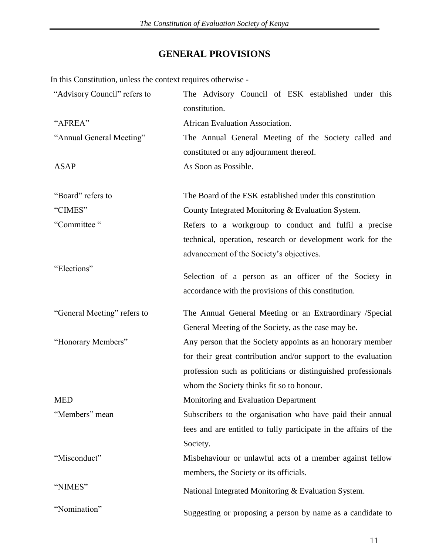# **GENERAL PROVISIONS**

In this Constitution, unless the context requires otherwise -

| "Advisory Council" refers to | The Advisory Council of ESK established under this<br>constitution.                                           |  |  |
|------------------------------|---------------------------------------------------------------------------------------------------------------|--|--|
| "AFREA"                      | African Evaluation Association.                                                                               |  |  |
| "Annual General Meeting"     | The Annual General Meeting of the Society called and                                                          |  |  |
|                              | constituted or any adjournment thereof.                                                                       |  |  |
| <b>ASAP</b>                  | As Soon as Possible.                                                                                          |  |  |
| "Board" refers to            | The Board of the ESK established under this constitution                                                      |  |  |
| "CIMES"                      | County Integrated Monitoring & Evaluation System.                                                             |  |  |
| "Committee"                  | Refers to a workgroup to conduct and fulfil a precise                                                         |  |  |
|                              | technical, operation, research or development work for the                                                    |  |  |
|                              | advancement of the Society's objectives.                                                                      |  |  |
| "Elections"                  | Selection of a person as an officer of the Society in<br>accordance with the provisions of this constitution. |  |  |
| "General Meeting" refers to  | The Annual General Meeting or an Extraordinary /Special                                                       |  |  |
|                              | General Meeting of the Society, as the case may be.                                                           |  |  |
| "Honorary Members"           | Any person that the Society appoints as an honorary member                                                    |  |  |
|                              |                                                                                                               |  |  |
|                              | for their great contribution and/or support to the evaluation                                                 |  |  |
|                              | profession such as politicians or distinguished professionals                                                 |  |  |
|                              | whom the Society thinks fit so to honour.                                                                     |  |  |
| <b>MED</b>                   | Monitoring and Evaluation Department                                                                          |  |  |
| "Members" mean               | Subscribers to the organisation who have paid their annual                                                    |  |  |
|                              | fees and are entitled to fully participate in the affairs of the                                              |  |  |
|                              | Society.                                                                                                      |  |  |
| "Misconduct"                 | Misbehaviour or unlawful acts of a member against fellow                                                      |  |  |
|                              | members, the Society or its officials.                                                                        |  |  |
| "NIMES"                      | National Integrated Monitoring & Evaluation System.                                                           |  |  |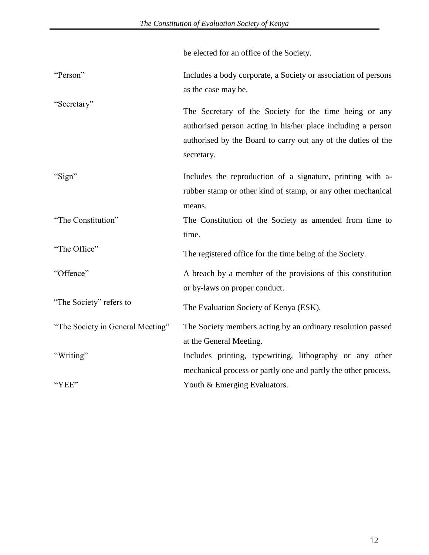|                                  | be elected for an office of the Society.                                                                                                                                                              |
|----------------------------------|-------------------------------------------------------------------------------------------------------------------------------------------------------------------------------------------------------|
| "Person"                         | Includes a body corporate, a Society or association of persons<br>as the case may be.                                                                                                                 |
| "Secretary"                      | The Secretary of the Society for the time being or any<br>authorised person acting in his/her place including a person<br>authorised by the Board to carry out any of the duties of the<br>secretary. |
| "Sign"                           | Includes the reproduction of a signature, printing with a-<br>rubber stamp or other kind of stamp, or any other mechanical<br>means.                                                                  |
| "The Constitution"               | The Constitution of the Society as amended from time to<br>time.                                                                                                                                      |
| "The Office"                     | The registered office for the time being of the Society.                                                                                                                                              |
| "Offence"                        | A breach by a member of the provisions of this constitution<br>or by-laws on proper conduct.                                                                                                          |
| "The Society" refers to          | The Evaluation Society of Kenya (ESK).                                                                                                                                                                |
| "The Society in General Meeting" | The Society members acting by an ordinary resolution passed<br>at the General Meeting.                                                                                                                |
| "Writing"                        | Includes printing, typewriting, lithography or any other<br>mechanical process or partly one and partly the other process.                                                                            |
| "YEE"                            | Youth & Emerging Evaluators.                                                                                                                                                                          |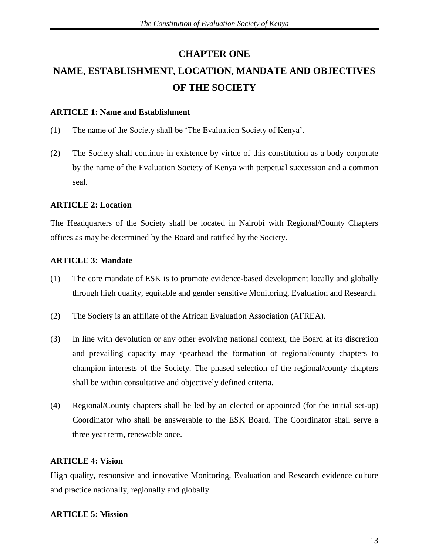# **CHAPTER ONE**

# **NAME, ESTABLISHMENT, LOCATION, MANDATE AND OBJECTIVES OF THE SOCIETY**

### **ARTICLE 1: Name and Establishment**

- (1) The name of the Society shall be ‗The Evaluation Society of Kenya'.
- (2) The Society shall continue in existence by virtue of this constitution as a body corporate by the name of the Evaluation Society of Kenya with perpetual succession and a common seal.

# **ARTICLE 2: Location**

The Headquarters of the Society shall be located in Nairobi with Regional/County Chapters offices as may be determined by the Board and ratified by the Society.

# **ARTICLE 3: Mandate**

- (1) The core mandate of ESK is to promote evidence-based development locally and globally through high quality, equitable and gender sensitive Monitoring, Evaluation and Research.
- (2) The Society is an affiliate of the African Evaluation Association (AFREA).
- (3) In line with devolution or any other evolving national context, the Board at its discretion and prevailing capacity may spearhead the formation of regional/county chapters to champion interests of the Society. The phased selection of the regional/county chapters shall be within consultative and objectively defined criteria.
- (4) Regional/County chapters shall be led by an elected or appointed (for the initial set-up) Coordinator who shall be answerable to the ESK Board. The Coordinator shall serve a three year term, renewable once.

# **ARTICLE 4: Vision**

High quality, responsive and innovative Monitoring, Evaluation and Research evidence culture and practice nationally, regionally and globally.

# **ARTICLE 5: Mission**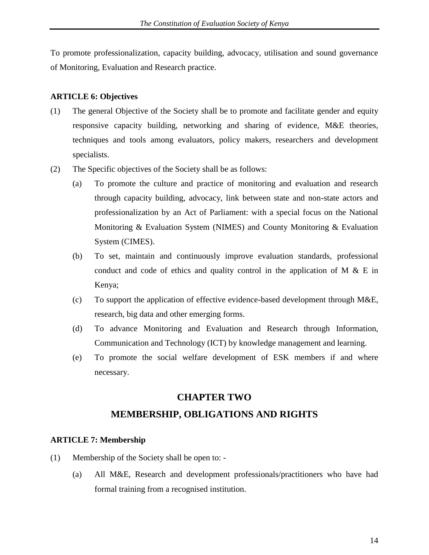To promote professionalization, capacity building, advocacy, utilisation and sound governance of Monitoring, Evaluation and Research practice.

#### **ARTICLE 6: Objectives**

- (1) The general Objective of the Society shall be to promote and facilitate gender and equity responsive capacity building, networking and sharing of evidence, M&E theories, techniques and tools among evaluators, policy makers, researchers and development specialists.
- (2) The Specific objectives of the Society shall be as follows:
	- (a) To promote the culture and practice of monitoring and evaluation and research through capacity building, advocacy, link between state and non-state actors and professionalization by an Act of Parliament: with a special focus on the National Monitoring & Evaluation System (NIMES) and County Monitoring & Evaluation System (CIMES).
	- (b) To set, maintain and continuously improve evaluation standards, professional conduct and code of ethics and quality control in the application of M  $\&$  E in Kenya;
	- (c) To support the application of effective evidence-based development through M&E, research, big data and other emerging forms.
	- (d) To advance Monitoring and Evaluation and Research through Information, Communication and Technology (ICT) by knowledge management and learning.
	- (e) To promote the social welfare development of ESK members if and where necessary.

#### **CHAPTER TWO**

### **MEMBERSHIP, OBLIGATIONS AND RIGHTS**

#### **ARTICLE 7: Membership**

- (1) Membership of the Society shall be open to:
	- (a) All M&E, Research and development professionals/practitioners who have had formal training from a recognised institution.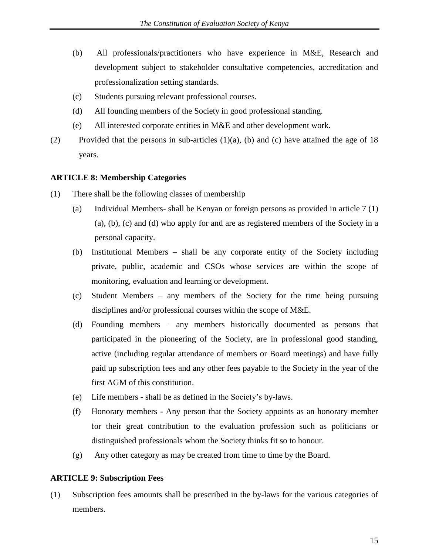- (b) All professionals/practitioners who have experience in M&E, Research and development subject to stakeholder consultative competencies, accreditation and professionalization setting standards.
- (c) Students pursuing relevant professional courses.
- (d) All founding members of the Society in good professional standing.
- (e) All interested corporate entities in M&E and other development work.
- (2) Provided that the persons in sub-articles  $(1)(a)$ ,  $(b)$  and  $(c)$  have attained the age of 18 years.

#### **ARTICLE 8: Membership Categories**

- (1) There shall be the following classes of membership
	- (a) Individual Members- shall be Kenyan or foreign persons as provided in article 7 (1) (a), (b), (c) and (d) who apply for and are as registered members of the Society in a personal capacity.
	- (b) Institutional Members shall be any corporate entity of the Society including private, public, academic and CSOs whose services are within the scope of monitoring, evaluation and learning or development.
	- (c) Student Members any members of the Society for the time being pursuing disciplines and/or professional courses within the scope of M&E.
	- (d) Founding members any members historically documented as persons that participated in the pioneering of the Society, are in professional good standing, active (including regular attendance of members or Board meetings) and have fully paid up subscription fees and any other fees payable to the Society in the year of the first AGM of this constitution.
	- (e) Life members shall be as defined in the Society's by-laws.
	- (f) Honorary members Any person that the Society appoints as an honorary member for their great contribution to the evaluation profession such as politicians or distinguished professionals whom the Society thinks fit so to honour.
	- (g) Any other category as may be created from time to time by the Board.

# **ARTICLE 9: Subscription Fees**

(1) Subscription fees amounts shall be prescribed in the by-laws for the various categories of members.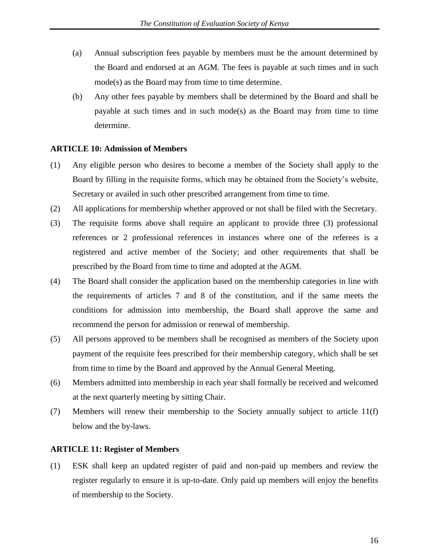- (a) Annual subscription fees payable by members must be the amount determined by the Board and endorsed at an AGM. The fees is payable at such times and in such mode(s) as the Board may from time to time determine.
- (b) Any other fees payable by members shall be determined by the Board and shall be payable at such times and in such mode(s) as the Board may from time to time determine.

#### **ARTICLE 10: Admission of Members**

- (1) Any eligible person who desires to become a member of the Society shall apply to the Board by filling in the requisite forms, which may be obtained from the Society's website, Secretary or availed in such other prescribed arrangement from time to time.
- (2) All applications for membership whether approved or not shall be filed with the Secretary.
- (3) The requisite forms above shall require an applicant to provide three (3) professional references or 2 professional references in instances where one of the referees is a registered and active member of the Society; and other requirements that shall be prescribed by the Board from time to time and adopted at the AGM.
- (4) The Board shall consider the application based on the membership categories in line with the requirements of articles 7 and 8 of the constitution, and if the same meets the conditions for admission into membership, the Board shall approve the same and recommend the person for admission or renewal of membership.
- (5) All persons approved to be members shall be recognised as members of the Society upon payment of the requisite fees prescribed for their membership category, which shall be set from time to time by the Board and approved by the Annual General Meeting.
- (6) Members admitted into membership in each year shall formally be received and welcomed at the next quarterly meeting by sitting Chair.
- (7) Members will renew their membership to the Society annually subject to article 11(f) below and the by-laws.

#### **ARTICLE 11: Register of Members**

(1) ESK shall keep an updated register of paid and non-paid up members and review the register regularly to ensure it is up-to-date. Only paid up members will enjoy the benefits of membership to the Society.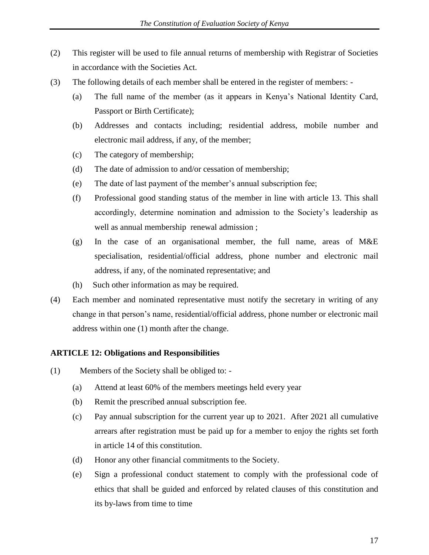- (2) This register will be used to file annual returns of membership with Registrar of Societies in accordance with the Societies Act.
- (3) The following details of each member shall be entered in the register of members:
	- (a) The full name of the member (as it appears in Kenya's National Identity Card, Passport or Birth Certificate);
	- (b) Addresses and contacts including; residential address, mobile number and electronic mail address, if any, of the member;
	- (c) The category of membership;
	- (d) The date of admission to and/or cessation of membership;
	- (e) The date of last payment of the member's annual subscription fee;
	- (f) Professional good standing status of the member in line with article 13. This shall accordingly, determine nomination and admission to the Society's leadership as well as annual membership renewal admission ;
	- (g) In the case of an organisational member, the full name, areas of M&E specialisation, residential/official address, phone number and electronic mail address, if any, of the nominated representative; and
	- (h) Such other information as may be required.
- (4) Each member and nominated representative must notify the secretary in writing of any change in that person's name, residential/official address, phone number or electronic mail address within one (1) month after the change.

#### **ARTICLE 12: Obligations and Responsibilities**

- (1) Members of the Society shall be obliged to:
	- (a) Attend at least 60% of the members meetings held every year
	- (b) Remit the prescribed annual subscription fee.
	- (c) Pay annual subscription for the current year up to 2021. After 2021 all cumulative arrears after registration must be paid up for a member to enjoy the rights set forth in article 14 of this constitution.
	- (d) Honor any other financial commitments to the Society.
	- (e) Sign a professional conduct statement to comply with the professional code of ethics that shall be guided and enforced by related clauses of this constitution and its by-laws from time to time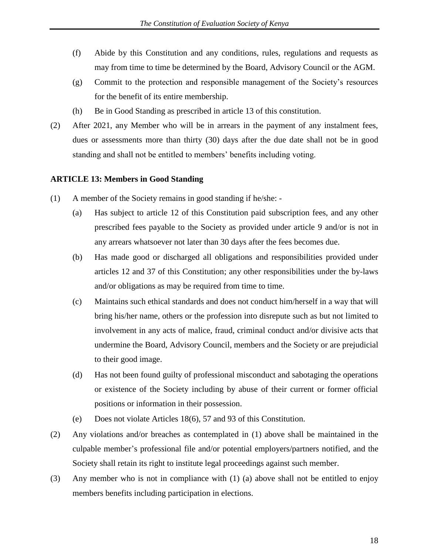- (f) Abide by this Constitution and any conditions, rules, regulations and requests as may from time to time be determined by the Board, Advisory Council or the AGM.
- (g) Commit to the protection and responsible management of the Society's resources for the benefit of its entire membership.
- (h) Be in Good Standing as prescribed in article 13 of this constitution.
- (2) After 2021, any Member who will be in arrears in the payment of any instalment fees, dues or assessments more than thirty (30) days after the due date shall not be in good standing and shall not be entitled to members' benefits including voting.

#### **ARTICLE 13: Members in Good Standing**

- (1) A member of the Society remains in good standing if he/she:
	- (a) Has subject to article 12 of this Constitution paid subscription fees, and any other prescribed fees payable to the Society as provided under article 9 and/or is not in any arrears whatsoever not later than 30 days after the fees becomes due.
	- (b) Has made good or discharged all obligations and responsibilities provided under articles 12 and 37 of this Constitution; any other responsibilities under the by-laws and/or obligations as may be required from time to time.
	- (c) Maintains such ethical standards and does not conduct him/herself in a way that will bring his/her name, others or the profession into disrepute such as but not limited to involvement in any acts of malice, fraud, criminal conduct and/or divisive acts that undermine the Board, Advisory Council, members and the Society or are prejudicial to their good image.
	- (d) Has not been found guilty of professional misconduct and sabotaging the operations or existence of the Society including by abuse of their current or former official positions or information in their possession.
	- (e) Does not violate Articles 18(6), 57 and 93 of this Constitution.
- (2) Any violations and/or breaches as contemplated in (1) above shall be maintained in the culpable member's professional file and/or potential employers/partners notified, and the Society shall retain its right to institute legal proceedings against such member.
- (3) Any member who is not in compliance with (1) (a) above shall not be entitled to enjoy members benefits including participation in elections.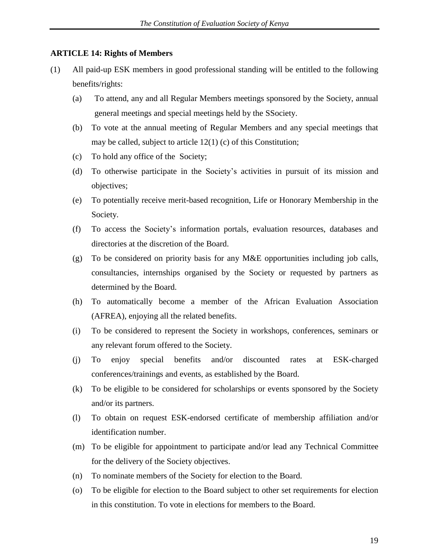#### **ARTICLE 14: Rights of Members**

- (1) All paid-up ESK members in good professional standing will be entitled to the following benefits/rights:
	- (a) To attend, any and all Regular Members meetings sponsored by the Society, annual general meetings and special meetings held by the SSociety.
	- (b) To vote at the annual meeting of Regular Members and any special meetings that may be called, subject to article 12(1) (c) of this Constitution;
	- (c) To hold any office of the Society;
	- (d) To otherwise participate in the Society's activities in pursuit of its mission and objectives;
	- (e) To potentially receive merit-based recognition, Life or Honorary Membership in the Society.
	- (f) To access the Society's information portals, evaluation resources, databases and directories at the discretion of the Board.
	- (g) To be considered on priority basis for any M&E opportunities including job calls, consultancies, internships organised by the Society or requested by partners as determined by the Board.
	- (h) To automatically become a member of the African Evaluation Association (AFREA), enjoying all the related benefits.
	- (i) To be considered to represent the Society in workshops, conferences, seminars or any relevant forum offered to the Society.
	- (j) To enjoy special benefits and/or discounted rates at ESK-charged conferences/trainings and events, as established by the Board.
	- (k) To be eligible to be considered for scholarships or events sponsored by the Society and/or its partners.
	- (l) To obtain on request ESK-endorsed certificate of membership affiliation and/or identification number.
	- (m) To be eligible for appointment to participate and/or lead any Technical Committee for the delivery of the Society objectives.
	- (n) To nominate members of the Society for election to the Board.
	- (o) To be eligible for election to the Board subject to other set requirements for election in this constitution. To vote in elections for members to the Board.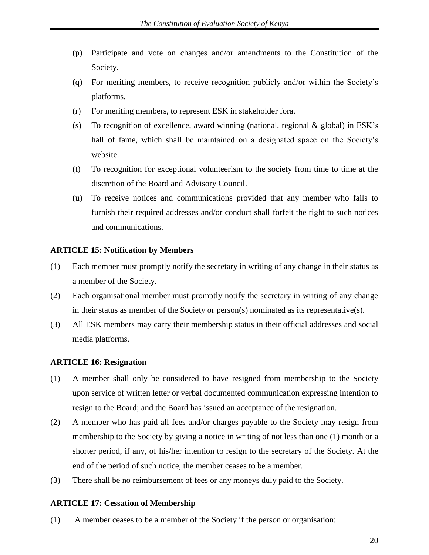- (p) Participate and vote on changes and/or amendments to the Constitution of the Society.
- (q) For meriting members, to receive recognition publicly and/or within the Society's platforms.
- (r) For meriting members, to represent ESK in stakeholder fora.
- (s) To recognition of excellence, award winning (national, regional & global) in ESK's hall of fame, which shall be maintained on a designated space on the Society's website.
- (t) To recognition for exceptional volunteerism to the society from time to time at the discretion of the Board and Advisory Council.
- (u) To receive notices and communications provided that any member who fails to furnish their required addresses and/or conduct shall forfeit the right to such notices and communications.

#### **ARTICLE 15: Notification by Members**

- (1) Each member must promptly notify the secretary in writing of any change in their status as a member of the Society.
- (2) Each organisational member must promptly notify the secretary in writing of any change in their status as member of the Society or person(s) nominated as its representative(s).
- (3) All ESK members may carry their membership status in their official addresses and social media platforms.

#### **ARTICLE 16: Resignation**

- (1) A member shall only be considered to have resigned from membership to the Society upon service of written letter or verbal documented communication expressing intention to resign to the Board; and the Board has issued an acceptance of the resignation.
- (2) A member who has paid all fees and/or charges payable to the Society may resign from membership to the Society by giving a notice in writing of not less than one (1) month or a shorter period, if any, of his/her intention to resign to the secretary of the Society. At the end of the period of such notice, the member ceases to be a member.
- (3) There shall be no reimbursement of fees or any moneys duly paid to the Society.

#### **ARTICLE 17: Cessation of Membership**

(1) A member ceases to be a member of the Society if the person or organisation: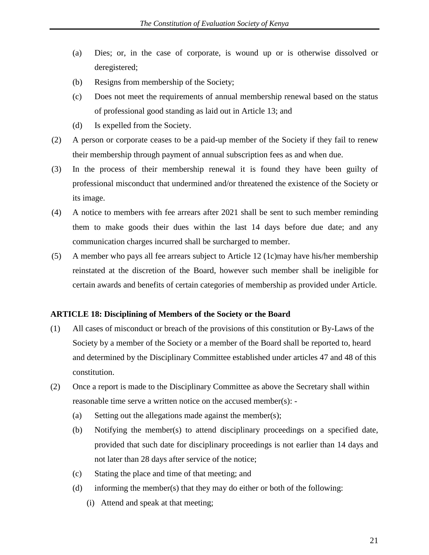- (a) Dies; or, in the case of corporate, is wound up or is otherwise dissolved or deregistered;
- (b) Resigns from membership of the Society;
- (c) Does not meet the requirements of annual membership renewal based on the status of professional good standing as laid out in Article 13; and
- (d) Is expelled from the Society.
- (2) A person or corporate ceases to be a paid-up member of the Society if they fail to renew their membership through payment of annual subscription fees as and when due.
- (3) In the process of their membership renewal it is found they have been guilty of professional misconduct that undermined and/or threatened the existence of the Society or its image.
- (4) A notice to members with fee arrears after 2021 shall be sent to such member reminding them to make goods their dues within the last 14 days before due date; and any communication charges incurred shall be surcharged to member.
- (5) A member who pays all fee arrears subject to Article 12 (1c)may have his/her membership reinstated at the discretion of the Board, however such member shall be ineligible for certain awards and benefits of certain categories of membership as provided under Article.

#### **ARTICLE 18: Disciplining of Members of the Society or the Board**

- (1) All cases of misconduct or breach of the provisions of this constitution or By-Laws of the Society by a member of the Society or a member of the Board shall be reported to, heard and determined by the Disciplinary Committee established under articles 47 and 48 of this constitution.
- (2) Once a report is made to the Disciplinary Committee as above the Secretary shall within reasonable time serve a written notice on the accused member(s): -
	- (a) Setting out the allegations made against the member(s);
	- (b) Notifying the member(s) to attend disciplinary proceedings on a specified date, provided that such date for disciplinary proceedings is not earlier than 14 days and not later than 28 days after service of the notice;
	- (c) Stating the place and time of that meeting; and
	- (d) informing the member(s) that they may do either or both of the following:
		- (i) Attend and speak at that meeting;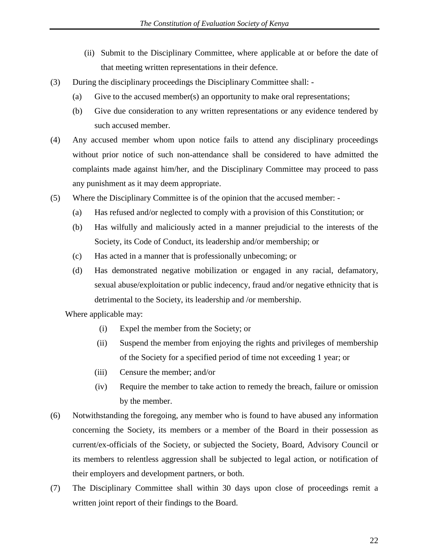- (ii) Submit to the Disciplinary Committee, where applicable at or before the date of that meeting written representations in their defence.
- (3) During the disciplinary proceedings the Disciplinary Committee shall:
	- (a) Give to the accused member(s) an opportunity to make oral representations;
	- (b) Give due consideration to any written representations or any evidence tendered by such accused member.
- (4) Any accused member whom upon notice fails to attend any disciplinary proceedings without prior notice of such non-attendance shall be considered to have admitted the complaints made against him/her, and the Disciplinary Committee may proceed to pass any punishment as it may deem appropriate.
- (5) Where the Disciplinary Committee is of the opinion that the accused member:
	- (a) Has refused and/or neglected to comply with a provision of this Constitution; or
	- (b) Has wilfully and maliciously acted in a manner prejudicial to the interests of the Society, its Code of Conduct, its leadership and/or membership; or
	- (c) Has acted in a manner that is professionally unbecoming; or
	- (d) Has demonstrated negative mobilization or engaged in any racial, defamatory, sexual abuse/exploitation or public indecency, fraud and/or negative ethnicity that is detrimental to the Society, its leadership and /or membership.

Where applicable may:

- (i) Expel the member from the Society; or
- (ii) Suspend the member from enjoying the rights and privileges of membership of the Society for a specified period of time not exceeding 1 year; or
- (iii) Censure the member; and/or
- (iv) Require the member to take action to remedy the breach, failure or omission by the member.
- (6) Notwithstanding the foregoing, any member who is found to have abused any information concerning the Society, its members or a member of the Board in their possession as current/ex-officials of the Society, or subjected the Society, Board, Advisory Council or its members to relentless aggression shall be subjected to legal action, or notification of their employers and development partners, or both.
- (7) The Disciplinary Committee shall within 30 days upon close of proceedings remit a written joint report of their findings to the Board.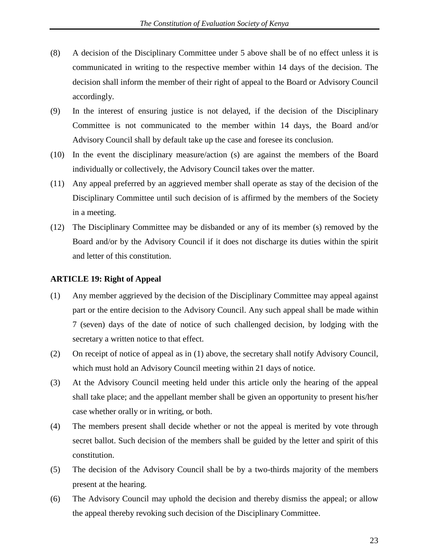- (8) A decision of the Disciplinary Committee under 5 above shall be of no effect unless it is communicated in writing to the respective member within 14 days of the decision. The decision shall inform the member of their right of appeal to the Board or Advisory Council accordingly.
- (9) In the interest of ensuring justice is not delayed, if the decision of the Disciplinary Committee is not communicated to the member within 14 days, the Board and/or Advisory Council shall by default take up the case and foresee its conclusion.
- (10) In the event the disciplinary measure/action (s) are against the members of the Board individually or collectively, the Advisory Council takes over the matter.
- (11) Any appeal preferred by an aggrieved member shall operate as stay of the decision of the Disciplinary Committee until such decision of is affirmed by the members of the Society in a meeting.
- (12) The Disciplinary Committee may be disbanded or any of its member (s) removed by the Board and/or by the Advisory Council if it does not discharge its duties within the spirit and letter of this constitution.

#### **ARTICLE 19: Right of Appeal**

- (1) Any member aggrieved by the decision of the Disciplinary Committee may appeal against part or the entire decision to the Advisory Council. Any such appeal shall be made within 7 (seven) days of the date of notice of such challenged decision, by lodging with the secretary a written notice to that effect.
- (2) On receipt of notice of appeal as in (1) above, the secretary shall notify Advisory Council, which must hold an Advisory Council meeting within 21 days of notice.
- (3) At the Advisory Council meeting held under this article only the hearing of the appeal shall take place; and the appellant member shall be given an opportunity to present his/her case whether orally or in writing, or both.
- (4) The members present shall decide whether or not the appeal is merited by vote through secret ballot. Such decision of the members shall be guided by the letter and spirit of this constitution.
- (5) The decision of the Advisory Council shall be by a two-thirds majority of the members present at the hearing.
- (6) The Advisory Council may uphold the decision and thereby dismiss the appeal; or allow the appeal thereby revoking such decision of the Disciplinary Committee.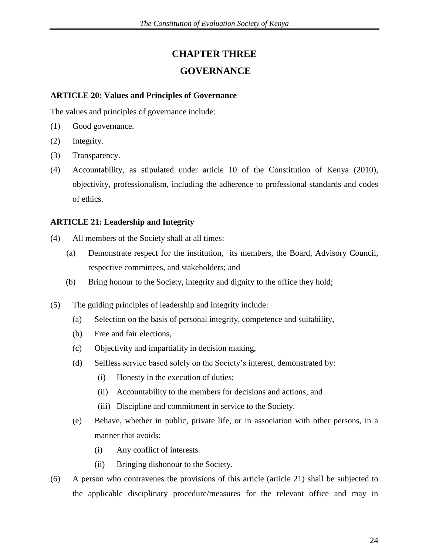# **CHAPTER THREE**

# **GOVERNANCE**

#### **ARTICLE 20: Values and Principles of Governance**

The values and principles of governance include:

- (1) Good governance.
- (2) Integrity.
- (3) Transparency.
- (4) Accountability, as stipulated under article 10 of the Constitution of Kenya (2010), objectivity, professionalism, including the adherence to professional standards and codes of ethics.

#### **ARTICLE 21: Leadership and Integrity**

- (4) All members of the Society shall at all times:
	- (a) Demonstrate respect for the institution, its members, the Board, Advisory Council, respective committees, and stakeholders; and
	- (b) Bring honour to the Society, integrity and dignity to the office they hold;
- (5) The guiding principles of leadership and integrity include:
	- (a) Selection on the basis of personal integrity, competence and suitability,
	- (b) Free and fair elections,
	- (c) Objectivity and impartiality in decision making,
	- (d) Selfless service based solely on the Society's interest, demonstrated by:
		- (i) Honesty in the execution of duties;
		- (ii) Accountability to the members for decisions and actions; and
		- (iii) Discipline and commitment in service to the Society.
	- (e) Behave, whether in public, private life, or in association with other persons, in a manner that avoids:
		- (i) Any conflict of interests.
		- (ii) Bringing dishonour to the Society.
- (6) A person who contravenes the provisions of this article (article 21) shall be subjected to the applicable disciplinary procedure/measures for the relevant office and may in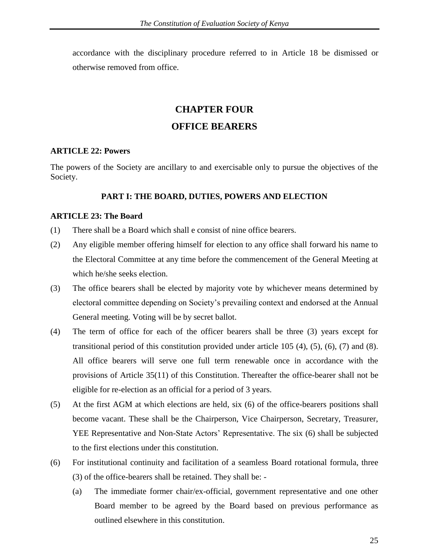accordance with the disciplinary procedure referred to in Article 18 be dismissed or otherwise removed from office.

# **CHAPTER FOUR**

# **OFFICE BEARERS**

#### **ARTICLE 22: Powers**

The powers of the Society are ancillary to and exercisable only to pursue the objectives of the Society.

#### **PART I: THE BOARD, DUTIES, POWERS AND ELECTION**

#### **ARTICLE 23: The Board**

- (1) There shall be a Board which shall e consist of nine office bearers.
- (2) Any eligible member offering himself for election to any office shall forward his name to the Electoral Committee at any time before the commencement of the General Meeting at which he/she seeks election.
- (3) The office bearers shall be elected by majority vote by whichever means determined by electoral committee depending on Society's prevailing context and endorsed at the Annual General meeting. Voting will be by secret ballot.
- (4) The term of office for each of the officer bearers shall be three (3) years except for transitional period of this constitution provided under article 105 (4), (5), (6), (7) and (8). All office bearers will serve one full term renewable once in accordance with the provisions of Article 35(11) of this Constitution. Thereafter the office-bearer shall not be eligible for re-election as an official for a period of 3 years.
- (5) At the first AGM at which elections are held, six (6) of the office-bearers positions shall become vacant. These shall be the Chairperson, Vice Chairperson, Secretary, Treasurer, YEE Representative and Non-State Actors' Representative. The six (6) shall be subjected to the first elections under this constitution.
- (6) For institutional continuity and facilitation of a seamless Board rotational formula, three (3) of the office-bearers shall be retained. They shall be: -
	- (a) The immediate former chair/ex-official, government representative and one other Board member to be agreed by the Board based on previous performance as outlined elsewhere in this constitution.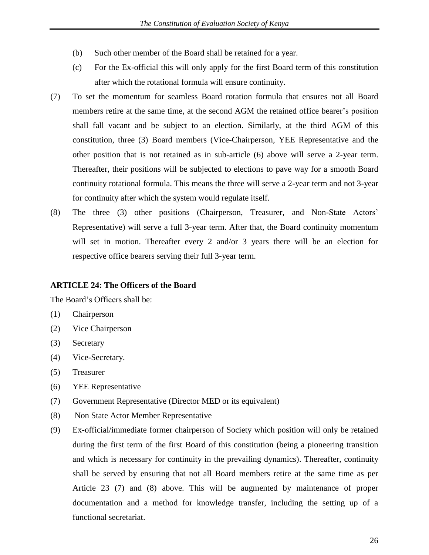- (b) Such other member of the Board shall be retained for a year.
- (c) For the Ex-official this will only apply for the first Board term of this constitution after which the rotational formula will ensure continuity.
- (7) To set the momentum for seamless Board rotation formula that ensures not all Board members retire at the same time, at the second AGM the retained office bearer's position shall fall vacant and be subject to an election. Similarly, at the third AGM of this constitution, three (3) Board members (Vice-Chairperson, YEE Representative and the other position that is not retained as in sub-article (6) above will serve a 2-year term. Thereafter, their positions will be subjected to elections to pave way for a smooth Board continuity rotational formula. This means the three will serve a 2-year term and not 3-year for continuity after which the system would regulate itself.
- (8) The three (3) other positions (Chairperson, Treasurer, and Non-State Actors' Representative) will serve a full 3-year term. After that, the Board continuity momentum will set in motion. Thereafter every 2 and/or 3 years there will be an election for respective office bearers serving their full 3-year term.

#### **ARTICLE 24: The Officers of the Board**

The Board's Officers shall be:

- (1) Chairperson
- (2) Vice Chairperson
- (3) Secretary
- (4) Vice-Secretary.
- (5) Treasurer
- (6) YEE Representative
- (7) Government Representative (Director MED or its equivalent)
- (8) Non State Actor Member Representative
- (9) Ex-official/immediate former chairperson of Society which position will only be retained during the first term of the first Board of this constitution (being a pioneering transition and which is necessary for continuity in the prevailing dynamics). Thereafter, continuity shall be served by ensuring that not all Board members retire at the same time as per Article 23 (7) and (8) above. This will be augmented by maintenance of proper documentation and a method for knowledge transfer, including the setting up of a functional secretariat.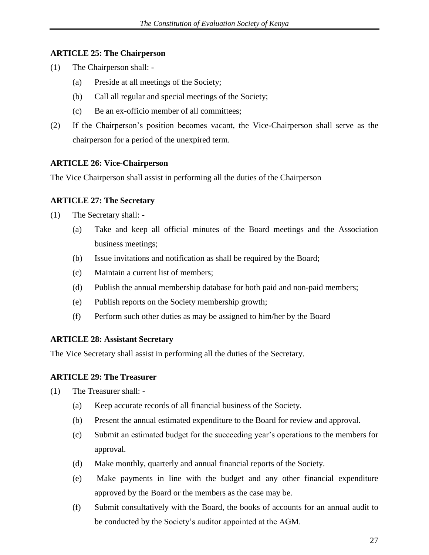#### **ARTICLE 25: The Chairperson**

- (1) The Chairperson shall:
	- (a) Preside at all meetings of the Society;
	- (b) Call all regular and special meetings of the Society;
	- (c) Be an ex-officio member of all committees;
- (2) If the Chairperson's position becomes vacant, the Vice-Chairperson shall serve as the chairperson for a period of the unexpired term.

#### **ARTICLE 26: Vice-Chairperson**

The Vice Chairperson shall assist in performing all the duties of the Chairperson

#### **ARTICLE 27: The Secretary**

- (1) The Secretary shall:
	- (a) Take and keep all official minutes of the Board meetings and the Association business meetings;
	- (b) Issue invitations and notification as shall be required by the Board;
	- (c) Maintain a current list of members;
	- (d) Publish the annual membership database for both paid and non-paid members;
	- (e) Publish reports on the Society membership growth;
	- (f) Perform such other duties as may be assigned to him/her by the Board

#### **ARTICLE 28: Assistant Secretary**

The Vice Secretary shall assist in performing all the duties of the Secretary.

#### **ARTICLE 29: The Treasurer**

- (1) The Treasurer shall:
	- (a) Keep accurate records of all financial business of the Society.
	- (b) Present the annual estimated expenditure to the Board for review and approval.
	- (c) Submit an estimated budget for the succeeding year's operations to the members for approval.
	- (d) Make monthly, quarterly and annual financial reports of the Society.
	- (e) Make payments in line with the budget and any other financial expenditure approved by the Board or the members as the case may be.
	- (f) Submit consultatively with the Board, the books of accounts for an annual audit to be conducted by the Society's auditor appointed at the AGM.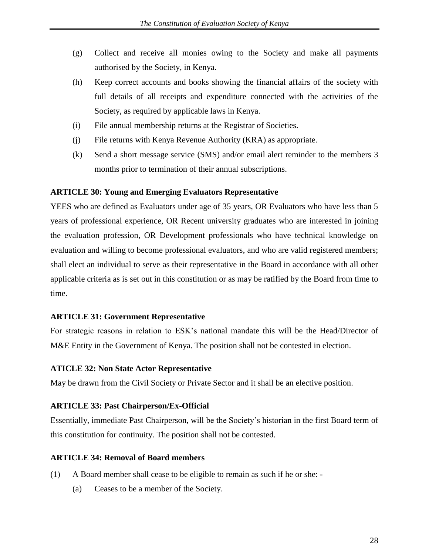- (g) Collect and receive all monies owing to the Society and make all payments authorised by the Society, in Kenya.
- (h) Keep correct accounts and books showing the financial affairs of the society with full details of all receipts and expenditure connected with the activities of the Society, as required by applicable laws in Kenya.
- (i) File annual membership returns at the Registrar of Societies.
- (j) File returns with Kenya Revenue Authority (KRA) as appropriate.
- (k) Send a short message service (SMS) and/or email alert reminder to the members 3 months prior to termination of their annual subscriptions.

#### **ARTICLE 30: Young and Emerging Evaluators Representative**

YEES who are defined as Evaluators under age of 35 years, OR Evaluators who have less than 5 years of professional experience, OR Recent university graduates who are interested in joining the evaluation profession, OR Development professionals who have technical knowledge on evaluation and willing to become professional evaluators, and who are valid registered members; shall elect an individual to serve as their representative in the Board in accordance with all other applicable criteria as is set out in this constitution or as may be ratified by the Board from time to time.

#### **ARTICLE 31: Government Representative**

For strategic reasons in relation to ESK's national mandate this will be the Head/Director of M&E Entity in the Government of Kenya. The position shall not be contested in election.

#### **ATICLE 32: Non State Actor Representative**

May be drawn from the Civil Society or Private Sector and it shall be an elective position.

#### **ARTICLE 33: Past Chairperson/Ex-Official**

Essentially, immediate Past Chairperson, will be the Society's historian in the first Board term of this constitution for continuity. The position shall not be contested.

#### **ARTICLE 34: Removal of Board members**

- (1) A Board member shall cease to be eligible to remain as such if he or she:
	- (a) Ceases to be a member of the Society.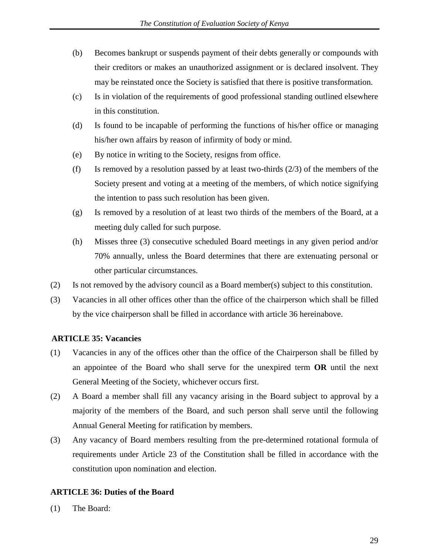- (b) Becomes bankrupt or suspends payment of their debts generally or compounds with their creditors or makes an unauthorized assignment or is declared insolvent. They may be reinstated once the Society is satisfied that there is positive transformation.
- (c) Is in violation of the requirements of good professional standing outlined elsewhere in this constitution.
- (d) Is found to be incapable of performing the functions of his/her office or managing his/her own affairs by reason of infirmity of body or mind.
- (e) By notice in writing to the Society, resigns from office.
- (f) Is removed by a resolution passed by at least two-thirds  $(2/3)$  of the members of the Society present and voting at a meeting of the members, of which notice signifying the intention to pass such resolution has been given.
- (g) Is removed by a resolution of at least two thirds of the members of the Board, at a meeting duly called for such purpose.
- (h) Misses three (3) consecutive scheduled Board meetings in any given period and/or 70% annually, unless the Board determines that there are extenuating personal or other particular circumstances.
- (2) Is not removed by the advisory council as a Board member(s) subject to this constitution.
- (3) Vacancies in all other offices other than the office of the chairperson which shall be filled by the vice chairperson shall be filled in accordance with article 36 hereinabove.

#### **ARTICLE 35: Vacancies**

- (1) Vacancies in any of the offices other than the office of the Chairperson shall be filled by an appointee of the Board who shall serve for the unexpired term **OR** until the next General Meeting of the Society, whichever occurs first.
- (2) A Board a member shall fill any vacancy arising in the Board subject to approval by a majority of the members of the Board, and such person shall serve until the following Annual General Meeting for ratification by members.
- (3) Any vacancy of Board members resulting from the pre-determined rotational formula of requirements under Article 23 of the Constitution shall be filled in accordance with the constitution upon nomination and election.

#### **ARTICLE 36: Duties of the Board**

(1) The Board: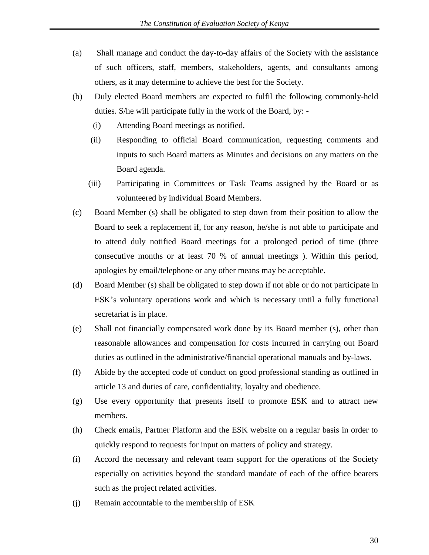- (a) Shall manage and conduct the day-to-day affairs of the Society with the assistance of such officers, staff, members, stakeholders, agents, and consultants among others, as it may determine to achieve the best for the Society.
- (b) Duly elected Board members are expected to fulfil the following commonly-held duties. S/he will participate fully in the work of the Board, by: -
	- (i) Attending Board meetings as notified.
	- (ii) Responding to official Board communication, requesting comments and inputs to such Board matters as Minutes and decisions on any matters on the Board agenda.
	- (iii) Participating in Committees or Task Teams assigned by the Board or as volunteered by individual Board Members.
- (c) Board Member (s) shall be obligated to step down from their position to allow the Board to seek a replacement if, for any reason, he/she is not able to participate and to attend duly notified Board meetings for a prolonged period of time (three consecutive months or at least 70 % of annual meetings ). Within this period, apologies by email/telephone or any other means may be acceptable.
- (d) Board Member (s) shall be obligated to step down if not able or do not participate in ESK's voluntary operations work and which is necessary until a fully functional secretariat is in place.
- (e) Shall not financially compensated work done by its Board member (s), other than reasonable allowances and compensation for costs incurred in carrying out Board duties as outlined in the administrative/financial operational manuals and by-laws.
- (f) Abide by the accepted code of conduct on good professional standing as outlined in article 13 and duties of care, confidentiality, loyalty and obedience.
- (g) Use every opportunity that presents itself to promote ESK and to attract new members.
- (h) Check emails, Partner Platform and the ESK website on a regular basis in order to quickly respond to requests for input on matters of policy and strategy.
- (i) Accord the necessary and relevant team support for the operations of the Society especially on activities beyond the standard mandate of each of the office bearers such as the project related activities.
- (j) Remain accountable to the membership of ESK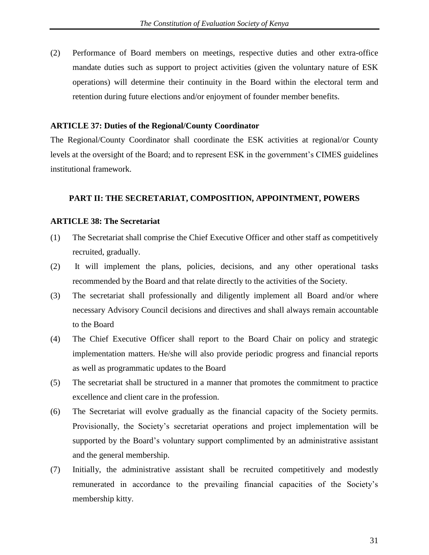(2) Performance of Board members on meetings, respective duties and other extra-office mandate duties such as support to project activities (given the voluntary nature of ESK operations) will determine their continuity in the Board within the electoral term and retention during future elections and/or enjoyment of founder member benefits.

#### **ARTICLE 37: Duties of the Regional/County Coordinator**

The Regional/County Coordinator shall coordinate the ESK activities at regional/or County levels at the oversight of the Board; and to represent ESK in the government's CIMES guidelines institutional framework.

#### **PART II: THE SECRETARIAT, COMPOSITION, APPOINTMENT, POWERS**

#### **ARTICLE 38: The Secretariat**

- (1) The Secretariat shall comprise the Chief Executive Officer and other staff as competitively recruited, gradually.
- (2) It will implement the plans, policies, decisions, and any other operational tasks recommended by the Board and that relate directly to the activities of the Society.
- (3) The secretariat shall professionally and diligently implement all Board and/or where necessary Advisory Council decisions and directives and shall always remain accountable to the Board
- (4) The Chief Executive Officer shall report to the Board Chair on policy and strategic implementation matters. He/she will also provide periodic progress and financial reports as well as programmatic updates to the Board
- (5) The secretariat shall be structured in a manner that promotes the commitment to practice excellence and client care in the profession.
- (6) The Secretariat will evolve gradually as the financial capacity of the Society permits. Provisionally, the Society's secretariat operations and project implementation will be supported by the Board's voluntary support complimented by an administrative assistant and the general membership.
- (7) Initially, the administrative assistant shall be recruited competitively and modestly remunerated in accordance to the prevailing financial capacities of the Society's membership kitty.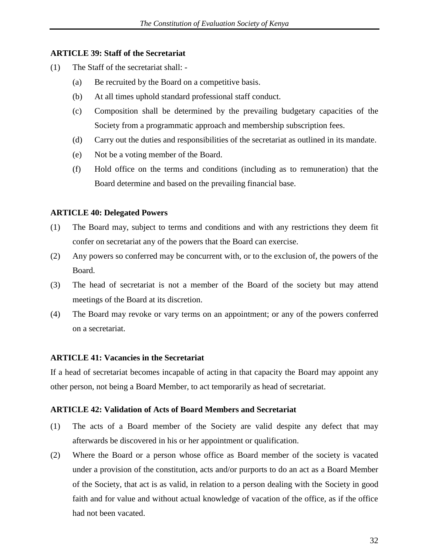#### **ARTICLE 39: Staff of the Secretariat**

- (1) The Staff of the secretariat shall:
	- (a) Be recruited by the Board on a competitive basis.
	- (b) At all times uphold standard professional staff conduct.
	- (c) Composition shall be determined by the prevailing budgetary capacities of the Society from a programmatic approach and membership subscription fees.
	- (d) Carry out the duties and responsibilities of the secretariat as outlined in its mandate.
	- (e) Not be a voting member of the Board.
	- (f) Hold office on the terms and conditions (including as to remuneration) that the Board determine and based on the prevailing financial base.

#### **ARTICLE 40: Delegated Powers**

- (1) The Board may, subject to terms and conditions and with any restrictions they deem fit confer on secretariat any of the powers that the Board can exercise.
- (2) Any powers so conferred may be concurrent with, or to the exclusion of, the powers of the Board.
- (3) The head of secretariat is not a member of the Board of the society but may attend meetings of the Board at its discretion.
- (4) The Board may revoke or vary terms on an appointment; or any of the powers conferred on a secretariat.

#### **ARTICLE 41: Vacancies in the Secretariat**

If a head of secretariat becomes incapable of acting in that capacity the Board may appoint any other person, not being a Board Member, to act temporarily as head of secretariat.

#### **ARTICLE 42: Validation of Acts of Board Members and Secretariat**

- (1) The acts of a Board member of the Society are valid despite any defect that may afterwards be discovered in his or her appointment or qualification.
- (2) Where the Board or a person whose office as Board member of the society is vacated under a provision of the constitution, acts and/or purports to do an act as a Board Member of the Society, that act is as valid, in relation to a person dealing with the Society in good faith and for value and without actual knowledge of vacation of the office, as if the office had not been vacated.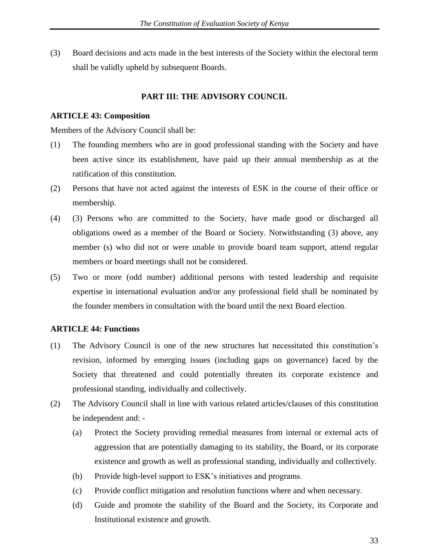(3) Board decisions and acts made in the best interests of the Society within the electoral term shall be validly upheld by subsequent Boards.

#### **PART III: THE ADVISORY COUNCIL**

#### **ARTICLE 43: Composition**

Members of the Advisory Council shall be:

- (1) The founding members who are in good professional standing with the Society and have been active since its establishment, have paid up their annual membership as at the ratification of this constitution.
- (2) Persons that have not acted against the interests of ESK in the course of their office or membership.
- (4) (3) Persons who are committed to the Society, have made good or discharged all obligations owed as a member of the Board or Society. Notwithstanding (3) above, any member (s) who did not or were unable to provide board team support, attend regular members or board meetings shall not be considered.
- (5) Two or more (odd number) additional persons with tested leadership and requisite expertise in international evaluation and/or any professional field shall be nominated by the founder members in consultation with the board until the next Board election.

#### **ARTICLE 44: Functions**

- (1) The Advisory Council is one of the new structures hat necessitated this constitution's revision, informed by emerging issues (including gaps on governance) faced by the Society that threatened and could potentially threaten its corporate existence and professional standing, individually and collectively.
- (2) The Advisory Council shall in line with various related articles/clauses of this constitution be independent and: -
	- (a) Protect the Society providing remedial measures from internal or external acts of aggression that are potentially damaging to its stability, the Board, or its corporate existence and growth as well as professional standing, individually and collectively.
	- (b) Provide high-level support to ESK's initiatives and programs.
	- (c) Provide conflict mitigation and resolution functions where and when necessary.
	- (d) Guide and promote the stability of the Board and the Society, its Corporate and Institutional existence and growth.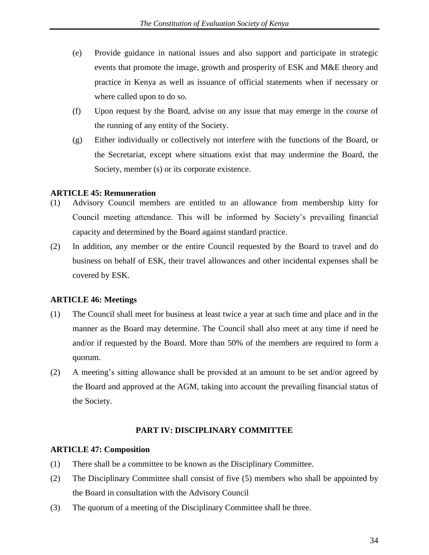- (e) Provide guidance in national issues and also support and participate in strategic events that promote the image, growth and prosperity of ESK and M&E theory and practice in Kenya as well as issuance of official statements when if necessary or where called upon to do so.
- (f) Upon request by the Board, advise on any issue that may emerge in the course of the running of any entity of the Society.
- (g) Either individually or collectively not interfere with the functions of the Board, or the Secretariat, except where situations exist that may undermine the Board, the Society, member (s) or its corporate existence.

#### **ARTICLE 45: Remuneration**

- (1) Advisory Council members are entitled to an allowance from membership kitty for Council meeting attendance. This will be informed by Society's prevailing financial capacity and determined by the Board against standard practice.
- (2) In addition, any member or the entire Council requested by the Board to travel and do business on behalf of ESK, their travel allowances and other incidental expenses shall be covered by ESK.

#### **ARTICLE 46: Meetings**

- (1) The Council shall meet for business at least twice a year at such time and place and in the manner as the Board may determine. The Council shall also meet at any time if need be and/or if requested by the Board. More than 50% of the members are required to form a quorum.
- (2) A meeting's sitting allowance shall be provided at an amount to be set and/or agreed by the Board and approved at the AGM, taking into account the prevailing financial status of the Society.

#### **PART IV: DISCIPLINARY COMMITTEE**

#### **ARTICLE 47: Composition**

- (1) There shall be a committee to be known as the Disciplinary Committee.
- (2) The Disciplinary Committee shall consist of five (5) members who shall be appointed by the Board in consultation with the Advisory Council
- (3) The quorum of a meeting of the Disciplinary Committee shall be three.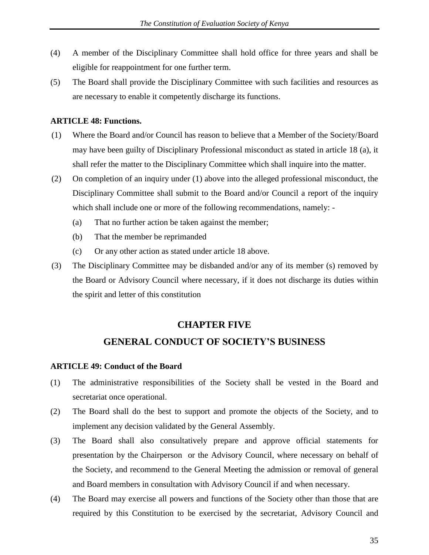- (4) A member of the Disciplinary Committee shall hold office for three years and shall be eligible for reappointment for one further term.
- (5) The Board shall provide the Disciplinary Committee with such facilities and resources as are necessary to enable it competently discharge its functions.

#### **ARTICLE 48: Functions.**

- (1) Where the Board and/or Council has reason to believe that a Member of the Society/Board may have been guilty of Disciplinary Professional misconduct as stated in article 18 (a), it shall refer the matter to the Disciplinary Committee which shall inquire into the matter.
- (2) On completion of an inquiry under (1) above into the alleged professional misconduct, the Disciplinary Committee shall submit to the Board and/or Council a report of the inquiry which shall include one or more of the following recommendations, namely: -
	- (a) That no further action be taken against the member;
	- (b) That the member be reprimanded
	- (c) Or any other action as stated under article 18 above.
- (3) The Disciplinary Committee may be disbanded and/or any of its member (s) removed by the Board or Advisory Council where necessary, if it does not discharge its duties within the spirit and letter of this constitution

# **CHAPTER FIVE**

# **GENERAL CONDUCT OF SOCIETY'S BUSINESS**

#### **ARTICLE 49: Conduct of the Board**

- (1) The administrative responsibilities of the Society shall be vested in the Board and secretariat once operational.
- (2) The Board shall do the best to support and promote the objects of the Society, and to implement any decision validated by the General Assembly.
- (3) The Board shall also consultatively prepare and approve official statements for presentation by the Chairperson or the Advisory Council, where necessary on behalf of the Society, and recommend to the General Meeting the admission or removal of general and Board members in consultation with Advisory Council if and when necessary.
- (4) The Board may exercise all powers and functions of the Society other than those that are required by this Constitution to be exercised by the secretariat, Advisory Council and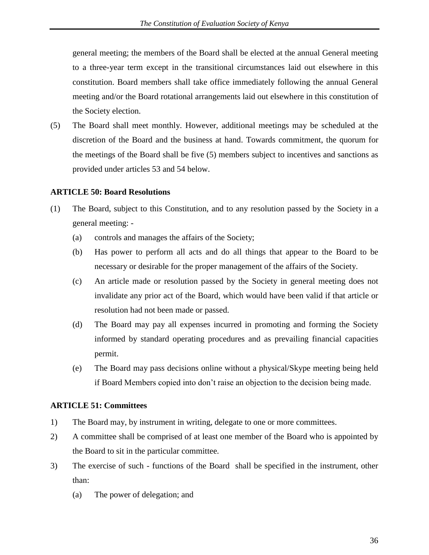general meeting; the members of the Board shall be elected at the annual General meeting to a three-year term except in the transitional circumstances laid out elsewhere in this constitution. Board members shall take office immediately following the annual General meeting and/or the Board rotational arrangements laid out elsewhere in this constitution of the Society election.

(5) The Board shall meet monthly. However, additional meetings may be scheduled at the discretion of the Board and the business at hand. Towards commitment, the quorum for the meetings of the Board shall be five (5) members subject to incentives and sanctions as provided under articles 53 and 54 below.

#### **ARTICLE 50: Board Resolutions**

- (1) The Board, subject to this Constitution, and to any resolution passed by the Society in a general meeting: -
	- (a) controls and manages the affairs of the Society;
	- (b) Has power to perform all acts and do all things that appear to the Board to be necessary or desirable for the proper management of the affairs of the Society.
	- (c) An article made or resolution passed by the Society in general meeting does not invalidate any prior act of the Board, which would have been valid if that article or resolution had not been made or passed.
	- (d) The Board may pay all expenses incurred in promoting and forming the Society informed by standard operating procedures and as prevailing financial capacities permit.
	- (e) The Board may pass decisions online without a physical/Skype meeting being held if Board Members copied into don't raise an objection to the decision being made.

#### **ARTICLE 51: Committees**

- 1) The Board may, by instrument in writing, delegate to one or more committees.
- 2) A committee shall be comprised of at least one member of the Board who is appointed by the Board to sit in the particular committee.
- 3) The exercise of such functions of the Board shall be specified in the instrument, other than:
	- (a) The power of delegation; and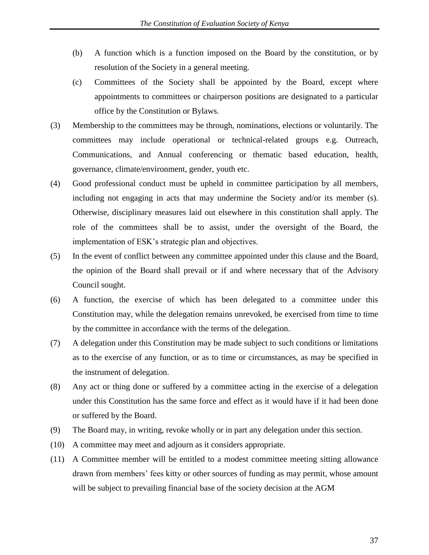- (b) A function which is a function imposed on the Board by the constitution, or by resolution of the Society in a general meeting.
- (c) Committees of the Society shall be appointed by the Board, except where appointments to committees or chairperson positions are designated to a particular office by the Constitution or Bylaws.
- (3) Membership to the committees may be through, nominations, elections or voluntarily. The committees may include operational or technical-related groups e.g. Outreach, Communications, and Annual conferencing or thematic based education, health, governance, climate/environment, gender, youth etc.
- (4) Good professional conduct must be upheld in committee participation by all members, including not engaging in acts that may undermine the Society and/or its member (s). Otherwise, disciplinary measures laid out elsewhere in this constitution shall apply. The role of the committees shall be to assist, under the oversight of the Board, the implementation of ESK's strategic plan and objectives.
- (5) In the event of conflict between any committee appointed under this clause and the Board, the opinion of the Board shall prevail or if and where necessary that of the Advisory Council sought.
- (6) A function, the exercise of which has been delegated to a committee under this Constitution may, while the delegation remains unrevoked, be exercised from time to time by the committee in accordance with the terms of the delegation.
- (7) A delegation under this Constitution may be made subject to such conditions or limitations as to the exercise of any function, or as to time or circumstances, as may be specified in the instrument of delegation.
- (8) Any act or thing done or suffered by a committee acting in the exercise of a delegation under this Constitution has the same force and effect as it would have if it had been done or suffered by the Board.
- (9) The Board may, in writing, revoke wholly or in part any delegation under this section.
- (10) A committee may meet and adjourn as it considers appropriate.
- (11) A Committee member will be entitled to a modest committee meeting sitting allowance drawn from members' fees kitty or other sources of funding as may permit, whose amount will be subject to prevailing financial base of the society decision at the AGM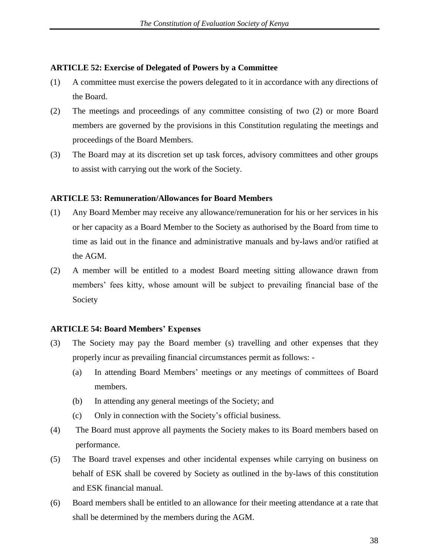#### **ARTICLE 52: Exercise of Delegated of Powers by a Committee**

- (1) A committee must exercise the powers delegated to it in accordance with any directions of the Board.
- (2) The meetings and proceedings of any committee consisting of two (2) or more Board members are governed by the provisions in this Constitution regulating the meetings and proceedings of the Board Members.
- (3) The Board may at its discretion set up task forces, advisory committees and other groups to assist with carrying out the work of the Society.

#### **ARTICLE 53: Remuneration/Allowances for Board Members**

- (1) Any Board Member may receive any allowance/remuneration for his or her services in his or her capacity as a Board Member to the Society as authorised by the Board from time to time as laid out in the finance and administrative manuals and by-laws and/or ratified at the AGM.
- (2) A member will be entitled to a modest Board meeting sitting allowance drawn from members' fees kitty, whose amount will be subject to prevailing financial base of the Society

#### **ARTICLE 54: Board Members' Expenses**

- (3) The Society may pay the Board member (s) travelling and other expenses that they properly incur as prevailing financial circumstances permit as follows: -
	- (a) In attending Board Members' meetings or any meetings of committees of Board members.
	- (b) In attending any general meetings of the Society; and
	- (c) Only in connection with the Society's official business.
- (4) The Board must approve all payments the Society makes to its Board members based on performance.
- (5) The Board travel expenses and other incidental expenses while carrying on business on behalf of ESK shall be covered by Society as outlined in the by-laws of this constitution and ESK financial manual.
- (6) Board members shall be entitled to an allowance for their meeting attendance at a rate that shall be determined by the members during the AGM.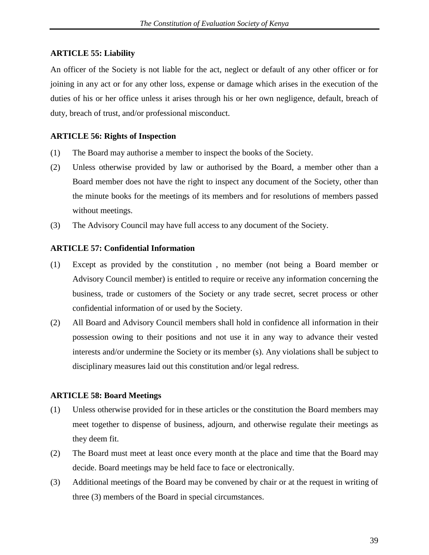#### **ARTICLE 55: Liability**

An officer of the Society is not liable for the act, neglect or default of any other officer or for joining in any act or for any other loss, expense or damage which arises in the execution of the duties of his or her office unless it arises through his or her own negligence, default, breach of duty, breach of trust, and/or professional misconduct.

#### **ARTICLE 56: Rights of Inspection**

- (1) The Board may authorise a member to inspect the books of the Society.
- (2) Unless otherwise provided by law or authorised by the Board, a member other than a Board member does not have the right to inspect any document of the Society, other than the minute books for the meetings of its members and for resolutions of members passed without meetings.
- (3) The Advisory Council may have full access to any document of the Society.

#### **ARTICLE 57: Confidential Information**

- (1) Except as provided by the constitution , no member (not being a Board member or Advisory Council member) is entitled to require or receive any information concerning the business, trade or customers of the Society or any trade secret, secret process or other confidential information of or used by the Society.
- (2) All Board and Advisory Council members shall hold in confidence all information in their possession owing to their positions and not use it in any way to advance their vested interests and/or undermine the Society or its member (s). Any violations shall be subject to disciplinary measures laid out this constitution and/or legal redress.

#### **ARTICLE 58: Board Meetings**

- (1) Unless otherwise provided for in these articles or the constitution the Board members may meet together to dispense of business, adjourn, and otherwise regulate their meetings as they deem fit.
- (2) The Board must meet at least once every month at the place and time that the Board may decide. Board meetings may be held face to face or electronically.
- (3) Additional meetings of the Board may be convened by chair or at the request in writing of three (3) members of the Board in special circumstances.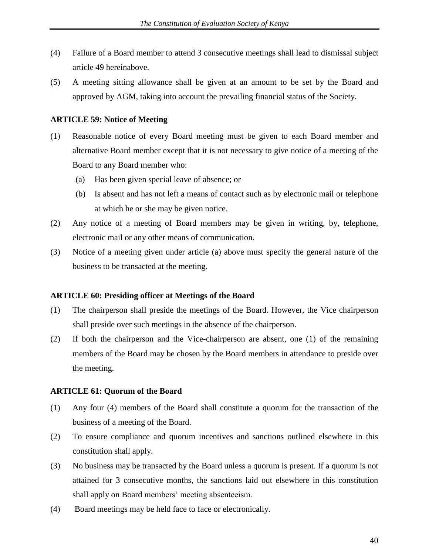- (4) Failure of a Board member to attend 3 consecutive meetings shall lead to dismissal subject article 49 hereinabove.
- (5) A meeting sitting allowance shall be given at an amount to be set by the Board and approved by AGM, taking into account the prevailing financial status of the Society.

#### **ARTICLE 59: Notice of Meeting**

- (1) Reasonable notice of every Board meeting must be given to each Board member and alternative Board member except that it is not necessary to give notice of a meeting of the Board to any Board member who:
	- (a) Has been given special leave of absence; or
	- (b) Is absent and has not left a means of contact such as by electronic mail or telephone at which he or she may be given notice.
- (2) Any notice of a meeting of Board members may be given in writing, by, telephone, electronic mail or any other means of communication.
- (3) Notice of a meeting given under article (a) above must specify the general nature of the business to be transacted at the meeting.

#### **ARTICLE 60: Presiding officer at Meetings of the Board**

- (1) The chairperson shall preside the meetings of the Board. However, the Vice chairperson shall preside over such meetings in the absence of the chairperson.
- (2) If both the chairperson and the Vice-chairperson are absent, one (1) of the remaining members of the Board may be chosen by the Board members in attendance to preside over the meeting.

#### **ARTICLE 61: Quorum of the Board**

- (1) Any four (4) members of the Board shall constitute a quorum for the transaction of the business of a meeting of the Board.
- (2) To ensure compliance and quorum incentives and sanctions outlined elsewhere in this constitution shall apply.
- (3) No business may be transacted by the Board unless a quorum is present. If a quorum is not attained for 3 consecutive months, the sanctions laid out elsewhere in this constitution shall apply on Board members' meeting absenteeism.
- (4) Board meetings may be held face to face or electronically.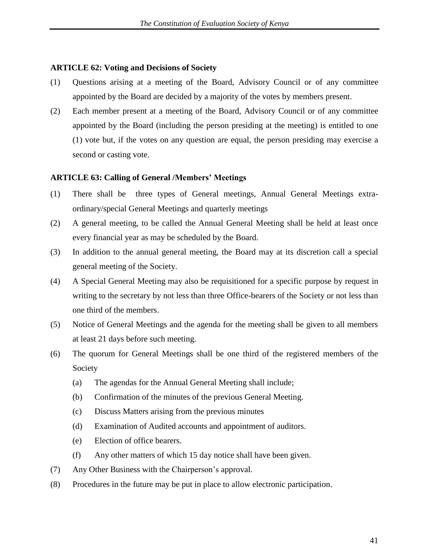#### **ARTICLE 62: Voting and Decisions of Society**

- (1) Questions arising at a meeting of the Board, Advisory Council or of any committee appointed by the Board are decided by a majority of the votes by members present.
- (2) Each member present at a meeting of the Board, Advisory Council or of any committee appointed by the Board (including the person presiding at the meeting) is entitled to one (1) vote but, if the votes on any question are equal, the person presiding may exercise a second or casting vote.

#### **ARTICLE 63: Calling of General /Members' Meetings**

- (1) There shall be three types of General meetings, Annual General Meetings extraordinary/special General Meetings and quarterly meetings
- (2) A general meeting, to be called the Annual General Meeting shall be held at least once every financial year as may be scheduled by the Board.
- (3) In addition to the annual general meeting, the Board may at its discretion call a special general meeting of the Society.
- (4) A Special General Meeting may also be requisitioned for a specific purpose by request in writing to the secretary by not less than three Office-bearers of the Society or not less than one third of the members.
- (5) Notice of General Meetings and the agenda for the meeting shall be given to all members at least 21 days before such meeting.
- (6) The quorum for General Meetings shall be one third of the registered members of the Society
	- (a) The agendas for the Annual General Meeting shall include;
	- (b) Confirmation of the minutes of the previous General Meeting.
	- (c) Discuss Matters arising from the previous minutes
	- (d) Examination of Audited accounts and appointment of auditors.
	- (e) Election of office bearers.
	- (f) Any other matters of which 15 day notice shall have been given.
- (7) Any Other Business with the Chairperson's approval.
- (8) Procedures in the future may be put in place to allow electronic participation.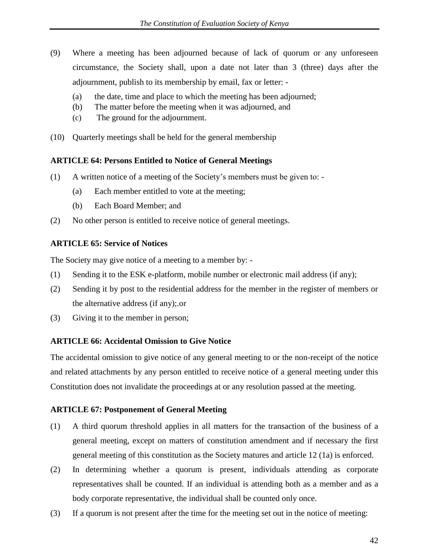- (9) Where a meeting has been adjourned because of lack of quorum or any unforeseen circumstance, the Society shall, upon a date not later than 3 (three) days after the adjournment, publish to its membership by email, fax or letter: -
	- (a) the date, time and place to which the meeting has been adjourned;
	- (b) The matter before the meeting when it was adjourned, and
	- (c) The ground for the adjournment.
- (10) Quarterly meetings shall be held for the general membership

#### **ARTICLE 64: Persons Entitled to Notice of General Meetings**

- (1) A written notice of a meeting of the Society's members must be given to:
	- (a) Each member entitled to vote at the meeting;
	- (b) Each Board Member; and
- (2) No other person is entitled to receive notice of general meetings.

#### **ARTICLE 65: Service of Notices**

The Society may give notice of a meeting to a member by: -

- (1) Sending it to the ESK e-platform, mobile number or electronic mail address (if any);
- (2) Sending it by post to the residential address for the member in the register of members or the alternative address (if any);.or
- (3) Giving it to the member in person;

#### **ARTICLE 66: Accidental Omission to Give Notice**

The accidental omission to give notice of any general meeting to or the non-receipt of the notice and related attachments by any person entitled to receive notice of a general meeting under this Constitution does not invalidate the proceedings at or any resolution passed at the meeting.

#### **ARTICLE 67: Postponement of General Meeting**

- (1) A third quorum threshold applies in all matters for the transaction of the business of a general meeting, except on matters of constitution amendment and if necessary the first general meeting of this constitution as the Society matures and article 12 (1a) is enforced.
- (2) In determining whether a quorum is present, individuals attending as corporate representatives shall be counted. If an individual is attending both as a member and as a body corporate representative, the individual shall be counted only once.
- (3) If a quorum is not present after the time for the meeting set out in the notice of meeting: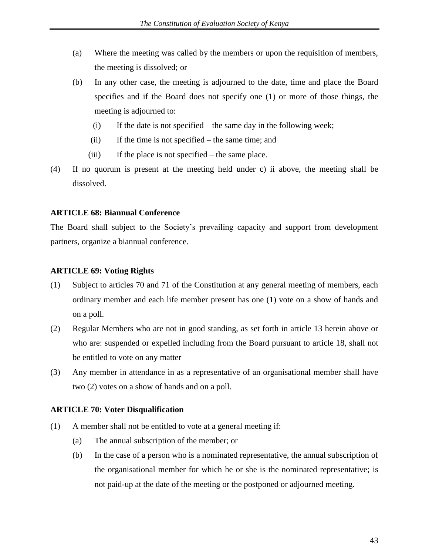- (a) Where the meeting was called by the members or upon the requisition of members, the meeting is dissolved; or
- (b) In any other case, the meeting is adjourned to the date, time and place the Board specifies and if the Board does not specify one (1) or more of those things, the meeting is adjourned to:
	- (i) If the date is not specified the same day in the following week;
	- (ii) If the time is not specified the same time; and
	- (iii) If the place is not specified the same place.
- (4) If no quorum is present at the meeting held under c) ii above, the meeting shall be dissolved.

#### **ARTICLE 68: Biannual Conference**

The Board shall subject to the Society's prevailing capacity and support from development partners, organize a biannual conference.

#### **ARTICLE 69: Voting Rights**

- (1) Subject to articles 70 and 71 of the Constitution at any general meeting of members, each ordinary member and each life member present has one (1) vote on a show of hands and on a poll.
- (2) Regular Members who are not in good standing, as set forth in article 13 herein above or who are: suspended or expelled including from the Board pursuant to article 18, shall not be entitled to vote on any matter
- (3) Any member in attendance in as a representative of an organisational member shall have two (2) votes on a show of hands and on a poll.

#### **ARTICLE 70: Voter Disqualification**

- (1) A member shall not be entitled to vote at a general meeting if:
	- (a) The annual subscription of the member; or
	- (b) In the case of a person who is a nominated representative, the annual subscription of the organisational member for which he or she is the nominated representative; is not paid-up at the date of the meeting or the postponed or adjourned meeting.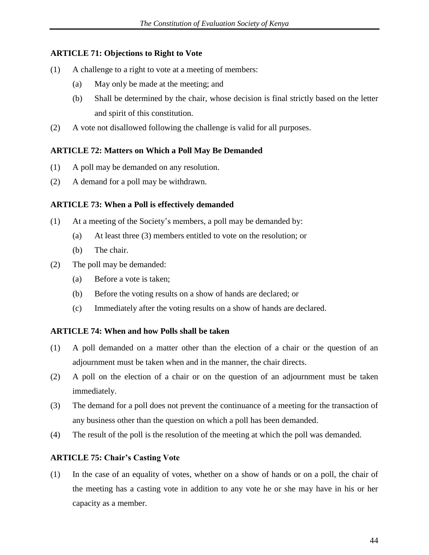#### **ARTICLE 71: Objections to Right to Vote**

- (1) A challenge to a right to vote at a meeting of members:
	- (a) May only be made at the meeting; and
	- (b) Shall be determined by the chair, whose decision is final strictly based on the letter and spirit of this constitution.
- (2) A vote not disallowed following the challenge is valid for all purposes.

#### **ARTICLE 72: Matters on Which a Poll May Be Demanded**

- (1) A poll may be demanded on any resolution.
- (2) A demand for a poll may be withdrawn.

#### **ARTICLE 73: When a Poll is effectively demanded**

- (1) At a meeting of the Society's members, a poll may be demanded by:
	- (a) At least three (3) members entitled to vote on the resolution; or
	- (b) The chair.
- (2) The poll may be demanded:
	- (a) Before a vote is taken;
	- (b) Before the voting results on a show of hands are declared; or
	- (c) Immediately after the voting results on a show of hands are declared.

#### **ARTICLE 74: When and how Polls shall be taken**

- (1) A poll demanded on a matter other than the election of a chair or the question of an adjournment must be taken when and in the manner, the chair directs.
- (2) A poll on the election of a chair or on the question of an adjournment must be taken immediately.
- (3) The demand for a poll does not prevent the continuance of a meeting for the transaction of any business other than the question on which a poll has been demanded.
- (4) The result of the poll is the resolution of the meeting at which the poll was demanded.

#### **ARTICLE 75: Chair's Casting Vote**

(1) In the case of an equality of votes, whether on a show of hands or on a poll, the chair of the meeting has a casting vote in addition to any vote he or she may have in his or her capacity as a member.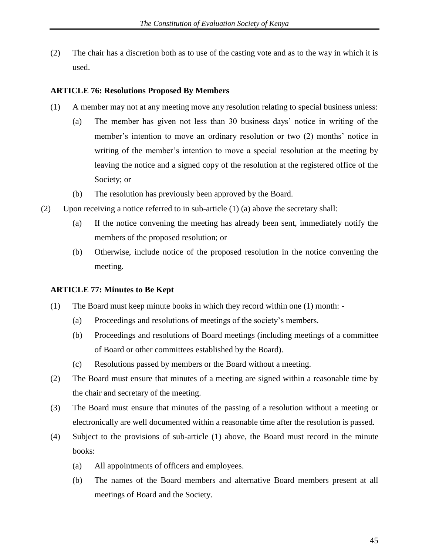(2) The chair has a discretion both as to use of the casting vote and as to the way in which it is used.

#### **ARTICLE 76: Resolutions Proposed By Members**

- (1) A member may not at any meeting move any resolution relating to special business unless:
	- (a) The member has given not less than 30 business days' notice in writing of the member's intention to move an ordinary resolution or two (2) months' notice in writing of the member's intention to move a special resolution at the meeting by leaving the notice and a signed copy of the resolution at the registered office of the Society; or
	- (b) The resolution has previously been approved by the Board.
- (2) Upon receiving a notice referred to in sub-article (1) (a) above the secretary shall:
	- (a) If the notice convening the meeting has already been sent, immediately notify the members of the proposed resolution; or
	- (b) Otherwise, include notice of the proposed resolution in the notice convening the meeting.

#### **ARTICLE 77: Minutes to Be Kept**

- (1) The Board must keep minute books in which they record within one (1) month:
	- (a) Proceedings and resolutions of meetings of the society's members.
	- (b) Proceedings and resolutions of Board meetings (including meetings of a committee of Board or other committees established by the Board).
	- (c) Resolutions passed by members or the Board without a meeting.
- (2) The Board must ensure that minutes of a meeting are signed within a reasonable time by the chair and secretary of the meeting.
- (3) The Board must ensure that minutes of the passing of a resolution without a meeting or electronically are well documented within a reasonable time after the resolution is passed.
- (4) Subject to the provisions of sub-article (1) above, the Board must record in the minute books:
	- (a) All appointments of officers and employees.
	- (b) The names of the Board members and alternative Board members present at all meetings of Board and the Society.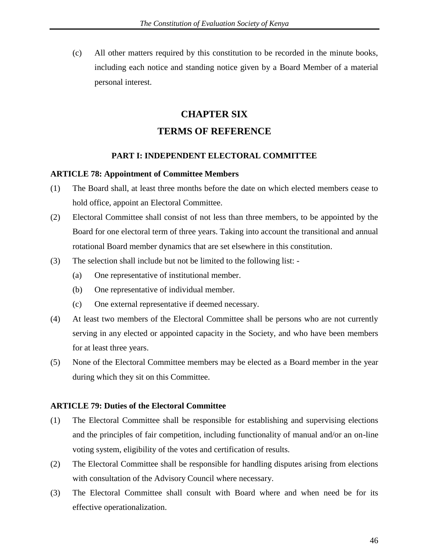(c) All other matters required by this constitution to be recorded in the minute books, including each notice and standing notice given by a Board Member of a material personal interest.

# **CHAPTER SIX TERMS OF REFERENCE**

#### **PART I: INDEPENDENT ELECTORAL COMMITTEE**

#### **ARTICLE 78: Appointment of Committee Members**

- (1) The Board shall, at least three months before the date on which elected members cease to hold office, appoint an Electoral Committee.
- (2) Electoral Committee shall consist of not less than three members, to be appointed by the Board for one electoral term of three years. Taking into account the transitional and annual rotational Board member dynamics that are set elsewhere in this constitution.
- (3) The selection shall include but not be limited to the following list:
	- (a) One representative of institutional member.
	- (b) One representative of individual member.
	- (c) One external representative if deemed necessary.
- (4) At least two members of the Electoral Committee shall be persons who are not currently serving in any elected or appointed capacity in the Society, and who have been members for at least three years.
- (5) None of the Electoral Committee members may be elected as a Board member in the year during which they sit on this Committee.

#### **ARTICLE 79: Duties of the Electoral Committee**

- (1) The Electoral Committee shall be responsible for establishing and supervising elections and the principles of fair competition, including functionality of manual and/or an on-line voting system, eligibility of the votes and certification of results.
- (2) The Electoral Committee shall be responsible for handling disputes arising from elections with consultation of the Advisory Council where necessary.
- (3) The Electoral Committee shall consult with Board where and when need be for its effective operationalization.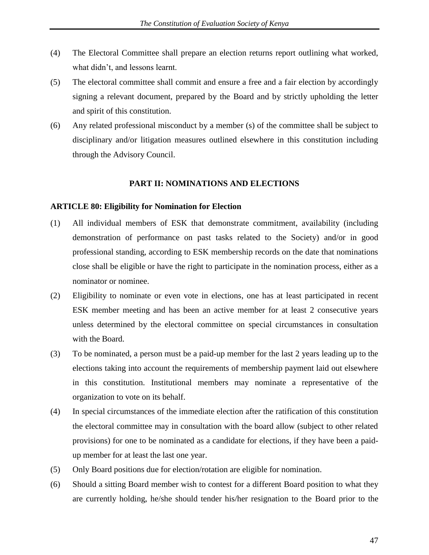- (4) The Electoral Committee shall prepare an election returns report outlining what worked, what didn't, and lessons learnt.
- (5) The electoral committee shall commit and ensure a free and a fair election by accordingly signing a relevant document, prepared by the Board and by strictly upholding the letter and spirit of this constitution.
- (6) Any related professional misconduct by a member (s) of the committee shall be subject to disciplinary and/or litigation measures outlined elsewhere in this constitution including through the Advisory Council.

#### **PART II: NOMINATIONS AND ELECTIONS**

#### **ARTICLE 80: Eligibility for Nomination for Election**

- (1) All individual members of ESK that demonstrate commitment, availability (including demonstration of performance on past tasks related to the Society) and/or in good professional standing, according to ESK membership records on the date that nominations close shall be eligible or have the right to participate in the nomination process, either as a nominator or nominee.
- (2) Eligibility to nominate or even vote in elections, one has at least participated in recent ESK member meeting and has been an active member for at least 2 consecutive years unless determined by the electoral committee on special circumstances in consultation with the Board.
- (3) To be nominated, a person must be a paid-up member for the last 2 years leading up to the elections taking into account the requirements of membership payment laid out elsewhere in this constitution. Institutional members may nominate a representative of the organization to vote on its behalf.
- (4) In special circumstances of the immediate election after the ratification of this constitution the electoral committee may in consultation with the board allow (subject to other related provisions) for one to be nominated as a candidate for elections, if they have been a paidup member for at least the last one year.
- (5) Only Board positions due for election/rotation are eligible for nomination.
- (6) Should a sitting Board member wish to contest for a different Board position to what they are currently holding, he/she should tender his/her resignation to the Board prior to the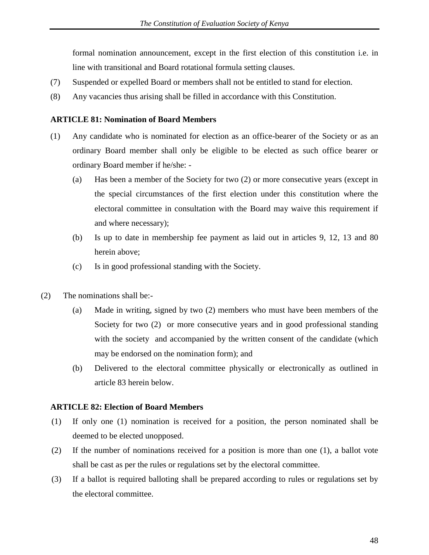formal nomination announcement, except in the first election of this constitution i.e. in line with transitional and Board rotational formula setting clauses.

- (7) Suspended or expelled Board or members shall not be entitled to stand for election.
- (8) Any vacancies thus arising shall be filled in accordance with this Constitution.

#### **ARTICLE 81: Nomination of Board Members**

- (1) Any candidate who is nominated for election as an office-bearer of the Society or as an ordinary Board member shall only be eligible to be elected as such office bearer or ordinary Board member if he/she: -
	- (a) Has been a member of the Society for two (2) or more consecutive years (except in the special circumstances of the first election under this constitution where the electoral committee in consultation with the Board may waive this requirement if and where necessary);
	- (b) Is up to date in membership fee payment as laid out in articles 9, 12, 13 and 80 herein above;
	- (c) Is in good professional standing with the Society.
- (2) The nominations shall be:-
	- (a) Made in writing, signed by two (2) members who must have been members of the Society for two (2) or more consecutive years and in good professional standing with the society and accompanied by the written consent of the candidate (which may be endorsed on the nomination form); and
	- (b) Delivered to the electoral committee physically or electronically as outlined in article 83 herein below.

#### **ARTICLE 82: Election of Board Members**

- (1) If only one (1) nomination is received for a position, the person nominated shall be deemed to be elected unopposed.
- (2) If the number of nominations received for a position is more than one (1), a ballot vote shall be cast as per the rules or regulations set by the electoral committee.
- (3) If a ballot is required balloting shall be prepared according to rules or regulations set by the electoral committee.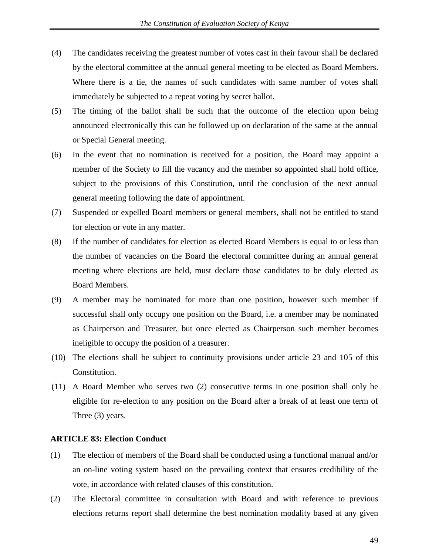- (4) The candidates receiving the greatest number of votes cast in their favour shall be declared by the electoral committee at the annual general meeting to be elected as Board Members. Where there is a tie, the names of such candidates with same number of votes shall immediately be subjected to a repeat voting by secret ballot.
- (5) The timing of the ballot shall be such that the outcome of the election upon being announced electronically this can be followed up on declaration of the same at the annual or Special General meeting.
- (6) In the event that no nomination is received for a position, the Board may appoint a member of the Society to fill the vacancy and the member so appointed shall hold office, subject to the provisions of this Constitution, until the conclusion of the next annual general meeting following the date of appointment.
- (7) Suspended or expelled Board members or general members, shall not be entitled to stand for election or vote in any matter.
- (8) If the number of candidates for election as elected Board Members is equal to or less than the number of vacancies on the Board the electoral committee during an annual general meeting where elections are held, must declare those candidates to be duly elected as Board Members.
- (9) A member may be nominated for more than one position, however such member if successful shall only occupy one position on the Board, i.e. a member may be nominated as Chairperson and Treasurer, but once elected as Chairperson such member becomes ineligible to occupy the position of a treasurer.
- (10) The elections shall be subject to continuity provisions under article 23 and 105 of this Constitution.
- (11) A Board Member who serves two (2) consecutive terms in one position shall only be eligible for re-election to any position on the Board after a break of at least one term of Three (3) years.

#### **ARTICLE 83: Election Conduct**

- (1) The election of members of the Board shall be conducted using a functional manual and/or an on-line voting system based on the prevailing context that ensures credibility of the vote, in accordance with related clauses of this constitution.
- (2) The Electoral committee in consultation with Board and with reference to previous elections returns report shall determine the best nomination modality based at any given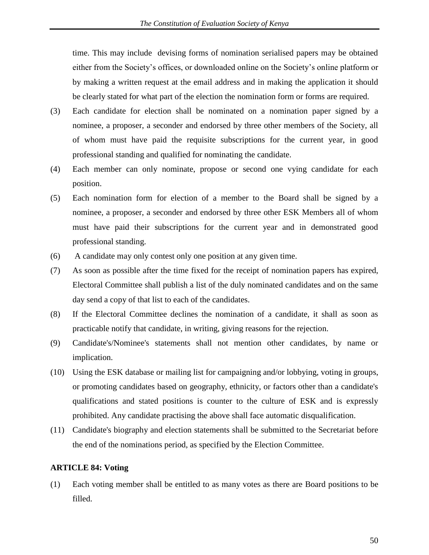time. This may include devising forms of nomination serialised papers may be obtained either from the Society's offices, or downloaded online on the Society's online platform or by making a written request at the email address and in making the application it should be clearly stated for what part of the election the nomination form or forms are required.

- (3) Each candidate for election shall be nominated on a nomination paper signed by a nominee, a proposer, a seconder and endorsed by three other members of the Society, all of whom must have paid the requisite subscriptions for the current year, in good professional standing and qualified for nominating the candidate.
- (4) Each member can only nominate, propose or second one vying candidate for each position.
- (5) Each nomination form for election of a member to the Board shall be signed by a nominee, a proposer, a seconder and endorsed by three other ESK Members all of whom must have paid their subscriptions for the current year and in demonstrated good professional standing.
- (6) A candidate may only contest only one position at any given time.
- (7) As soon as possible after the time fixed for the receipt of nomination papers has expired, Electoral Committee shall publish a list of the duly nominated candidates and on the same day send a copy of that list to each of the candidates.
- (8) If the Electoral Committee declines the nomination of a candidate, it shall as soon as practicable notify that candidate, in writing, giving reasons for the rejection.
- (9) Candidate's/Nominee's statements shall not mention other candidates, by name or implication.
- (10) Using the ESK database or mailing list for campaigning and/or lobbying, voting in groups, or promoting candidates based on geography, ethnicity, or factors other than a candidate's qualifications and stated positions is counter to the culture of ESK and is expressly prohibited. Any candidate practising the above shall face automatic disqualification.
- (11) Candidate's biography and election statements shall be submitted to the Secretariat before the end of the nominations period, as specified by the Election Committee.

#### **ARTICLE 84: Voting**

(1) Each voting member shall be entitled to as many votes as there are Board positions to be filled.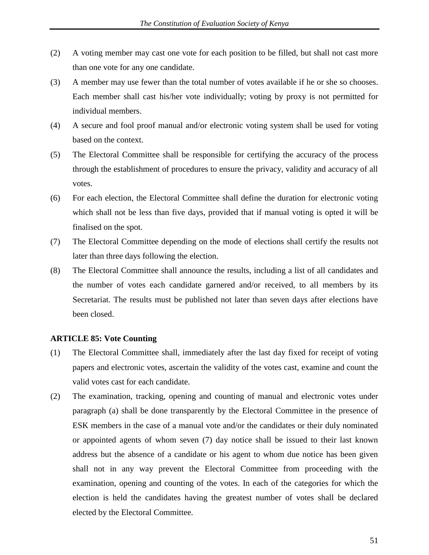- (2) A voting member may cast one vote for each position to be filled, but shall not cast more than one vote for any one candidate.
- (3) A member may use fewer than the total number of votes available if he or she so chooses. Each member shall cast his/her vote individually; voting by proxy is not permitted for individual members.
- (4) A secure and fool proof manual and/or electronic voting system shall be used for voting based on the context.
- (5) The Electoral Committee shall be responsible for certifying the accuracy of the process through the establishment of procedures to ensure the privacy, validity and accuracy of all votes.
- (6) For each election, the Electoral Committee shall define the duration for electronic voting which shall not be less than five days, provided that if manual voting is opted it will be finalised on the spot.
- (7) The Electoral Committee depending on the mode of elections shall certify the results not later than three days following the election.
- (8) The Electoral Committee shall announce the results, including a list of all candidates and the number of votes each candidate garnered and/or received, to all members by its Secretariat. The results must be published not later than seven days after elections have been closed.

#### **ARTICLE 85: Vote Counting**

- (1) The Electoral Committee shall, immediately after the last day fixed for receipt of voting papers and electronic votes, ascertain the validity of the votes cast, examine and count the valid votes cast for each candidate.
- (2) The examination, tracking, opening and counting of manual and electronic votes under paragraph (a) shall be done transparently by the Electoral Committee in the presence of ESK members in the case of a manual vote and/or the candidates or their duly nominated or appointed agents of whom seven (7) day notice shall be issued to their last known address but the absence of a candidate or his agent to whom due notice has been given shall not in any way prevent the Electoral Committee from proceeding with the examination, opening and counting of the votes. In each of the categories for which the election is held the candidates having the greatest number of votes shall be declared elected by the Electoral Committee.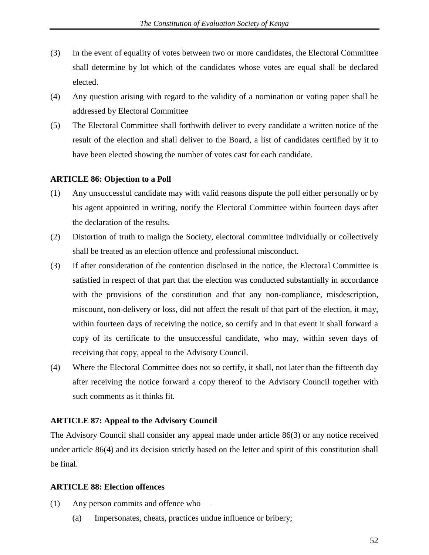- (3) In the event of equality of votes between two or more candidates, the Electoral Committee shall determine by lot which of the candidates whose votes are equal shall be declared elected.
- (4) Any question arising with regard to the validity of a nomination or voting paper shall be addressed by Electoral Committee
- (5) The Electoral Committee shall forthwith deliver to every candidate a written notice of the result of the election and shall deliver to the Board, a list of candidates certified by it to have been elected showing the number of votes cast for each candidate.

#### **ARTICLE 86: Objection to a Poll**

- (1) Any unsuccessful candidate may with valid reasons dispute the poll either personally or by his agent appointed in writing, notify the Electoral Committee within fourteen days after the declaration of the results.
- (2) Distortion of truth to malign the Society, electoral committee individually or collectively shall be treated as an election offence and professional misconduct.
- (3) If after consideration of the contention disclosed in the notice, the Electoral Committee is satisfied in respect of that part that the election was conducted substantially in accordance with the provisions of the constitution and that any non-compliance, misdescription, miscount, non-delivery or loss, did not affect the result of that part of the election, it may, within fourteen days of receiving the notice, so certify and in that event it shall forward a copy of its certificate to the unsuccessful candidate, who may, within seven days of receiving that copy, appeal to the Advisory Council.
- (4) Where the Electoral Committee does not so certify, it shall, not later than the fifteenth day after receiving the notice forward a copy thereof to the Advisory Council together with such comments as it thinks fit.

#### **ARTICLE 87: Appeal to the Advisory Council**

The Advisory Council shall consider any appeal made under article 86(3) or any notice received under article 86(4) and its decision strictly based on the letter and spirit of this constitution shall be final.

#### **ARTICLE 88: Election offences**

- (1) Any person commits and offence who
	- (a) Impersonates, cheats, practices undue influence or bribery;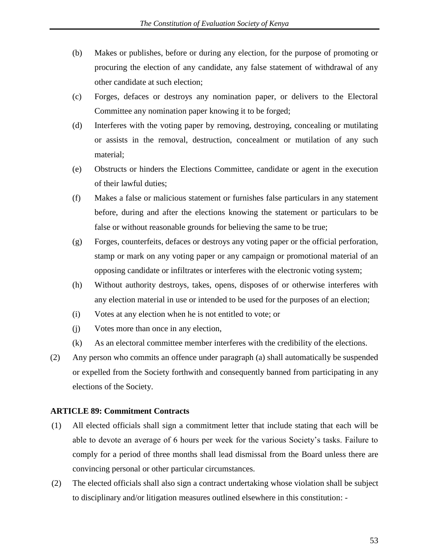- (b) Makes or publishes, before or during any election, for the purpose of promoting or procuring the election of any candidate, any false statement of withdrawal of any other candidate at such election;
- (c) Forges, defaces or destroys any nomination paper, or delivers to the Electoral Committee any nomination paper knowing it to be forged;
- (d) Interferes with the voting paper by removing, destroying, concealing or mutilating or assists in the removal, destruction, concealment or mutilation of any such material;
- (e) Obstructs or hinders the Elections Committee, candidate or agent in the execution of their lawful duties;
- (f) Makes a false or malicious statement or furnishes false particulars in any statement before, during and after the elections knowing the statement or particulars to be false or without reasonable grounds for believing the same to be true;
- (g) Forges, counterfeits, defaces or destroys any voting paper or the official perforation, stamp or mark on any voting paper or any campaign or promotional material of an opposing candidate or infiltrates or interferes with the electronic voting system;
- (h) Without authority destroys, takes, opens, disposes of or otherwise interferes with any election material in use or intended to be used for the purposes of an election;
- (i) Votes at any election when he is not entitled to vote; or
- (j) Votes more than once in any election,
- (k) As an electoral committee member interferes with the credibility of the elections.
- (2) Any person who commits an offence under paragraph (a) shall automatically be suspended or expelled from the Society forthwith and consequently banned from participating in any elections of the Society.

#### **ARTICLE 89: Commitment Contracts**

- (1) All elected officials shall sign a commitment letter that include stating that each will be able to devote an average of 6 hours per week for the various Society's tasks. Failure to comply for a period of three months shall lead dismissal from the Board unless there are convincing personal or other particular circumstances.
- (2) The elected officials shall also sign a contract undertaking whose violation shall be subject to disciplinary and/or litigation measures outlined elsewhere in this constitution: -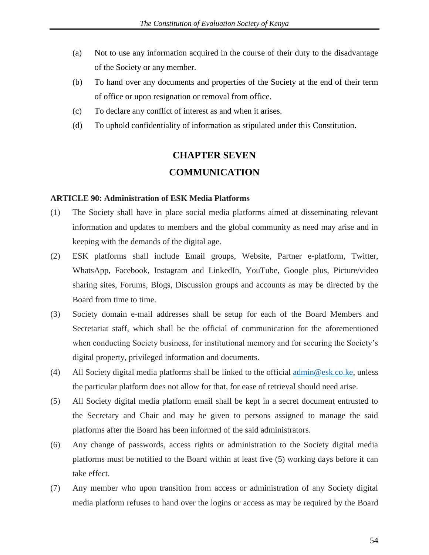- (a) Not to use any information acquired in the course of their duty to the disadvantage of the Society or any member.
- (b) To hand over any documents and properties of the Society at the end of their term of office or upon resignation or removal from office.
- (c) To declare any conflict of interest as and when it arises.
- (d) To uphold confidentiality of information as stipulated under this Constitution.

# **CHAPTER SEVEN COMMUNICATION**

#### **ARTICLE 90: Administration of ESK Media Platforms**

- (1) The Society shall have in place social media platforms aimed at disseminating relevant information and updates to members and the global community as need may arise and in keeping with the demands of the digital age.
- (2) ESK platforms shall include Email groups, Website, Partner e-platform, Twitter, WhatsApp, Facebook, Instagram and LinkedIn, YouTube, Google plus, Picture/video sharing sites, Forums, Blogs, Discussion groups and accounts as may be directed by the Board from time to time.
- (3) Society domain e-mail addresses shall be setup for each of the Board Members and Secretariat staff, which shall be the official of communication for the aforementioned when conducting Society business, for institutional memory and for securing the Society's digital property, privileged information and documents.
- (4) All Society digital media platforms shall be linked to the official [admin@esk.co.ke,](mailto:admin@esk.co.ke) unless the particular platform does not allow for that, for ease of retrieval should need arise.
- (5) All Society digital media platform email shall be kept in a secret document entrusted to the Secretary and Chair and may be given to persons assigned to manage the said platforms after the Board has been informed of the said administrators.
- (6) Any change of passwords, access rights or administration to the Society digital media platforms must be notified to the Board within at least five (5) working days before it can take effect.
- (7) Any member who upon transition from access or administration of any Society digital media platform refuses to hand over the logins or access as may be required by the Board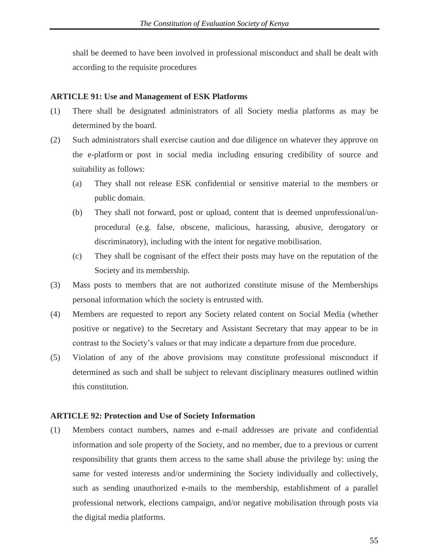shall be deemed to have been involved in professional misconduct and shall be dealt with according to the requisite procedures

#### **ARTICLE 91: Use and Management of ESK Platforms**

- (1) There shall be designated administrators of all Society media platforms as may be determined by the board.
- (2) Such administrators shall exercise caution and due diligence on whatever they approve on the e-platform or post in social media including ensuring credibility of source and suitability as follows:
	- (a) They shall not release ESK confidential or sensitive material to the members or public domain.
	- (b) They shall not forward, post or upload, content that is deemed unprofessional/unprocedural (e.g. false, obscene, malicious, harassing, abusive, derogatory or discriminatory), including with the intent for negative mobilisation.
	- (c) They shall be cognisant of the effect their posts may have on the reputation of the Society and its membership.
- (3) Mass posts to members that are not authorized constitute misuse of the Memberships personal information which the society is entrusted with.
- (4) Members are requested to report any Society related content on Social Media (whether positive or negative) to the Secretary and Assistant Secretary that may appear to be in contrast to the Society's values or that may indicate a departure from due procedure.
- (5) Violation of any of the above provisions may constitute professional misconduct if determined as such and shall be subject to relevant disciplinary measures outlined within this constitution.

#### **ARTICLE 92: Protection and Use of Society Information**

(1) Members contact numbers, names and e-mail addresses are private and confidential information and sole property of the Society, and no member, due to a previous or current responsibility that grants them access to the same shall abuse the privilege by: using the same for vested interests and/or undermining the Society individually and collectively, such as sending unauthorized e-mails to the membership, establishment of a parallel professional network, elections campaign, and/or negative mobilisation through posts via the digital media platforms.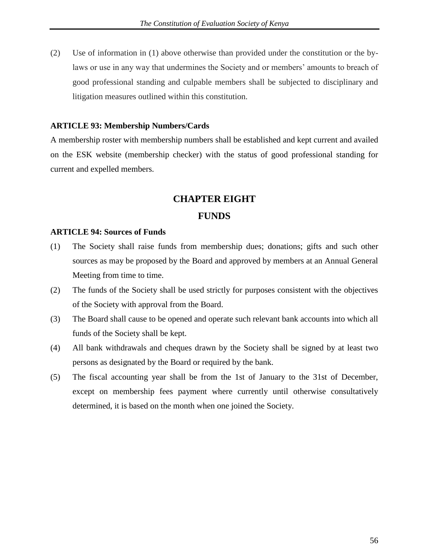(2) Use of information in (1) above otherwise than provided under the constitution or the bylaws or use in any way that undermines the Society and or members' amounts to breach of good professional standing and culpable members shall be subjected to disciplinary and litigation measures outlined within this constitution.

#### **ARTICLE 93: Membership Numbers/Cards**

A membership roster with membership numbers shall be established and kept current and availed on the ESK website (membership checker) with the status of good professional standing for current and expelled members.

# **CHAPTER EIGHT**

### **FUNDS**

#### **ARTICLE 94: Sources of Funds**

- (1) The Society shall raise funds from membership dues; donations; gifts and such other sources as may be proposed by the Board and approved by members at an Annual General Meeting from time to time.
- (2) The funds of the Society shall be used strictly for purposes consistent with the objectives of the Society with approval from the Board.
- (3) The Board shall cause to be opened and operate such relevant bank accounts into which all funds of the Society shall be kept.
- (4) All bank withdrawals and cheques drawn by the Society shall be signed by at least two persons as designated by the Board or required by the bank.
- (5) The fiscal accounting year shall be from the 1st of January to the 31st of December, except on membership fees payment where currently until otherwise consultatively determined, it is based on the month when one joined the Society.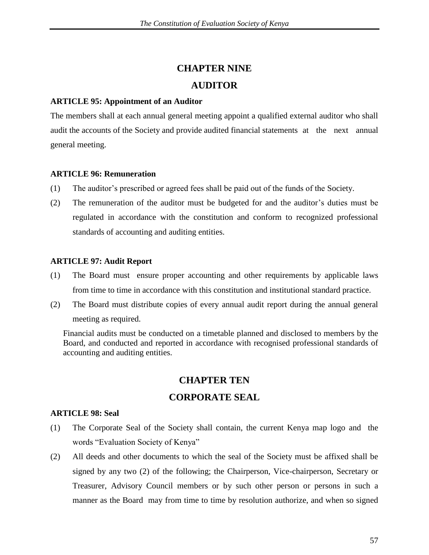# **CHAPTER NINE**

# **AUDITOR**

### **ARTICLE 95: Appointment of an Auditor**

The members shall at each annual general meeting appoint a qualified external auditor who shall audit the accounts of the Society and provide audited financial statements at the next annual general meeting.

# **ARTICLE 96: Remuneration**

- (1) The auditor's prescribed or agreed fees shall be paid out of the funds of the Society.
- (2) The remuneration of the auditor must be budgeted for and the auditor's duties must be regulated in accordance with the constitution and conform to recognized professional standards of accounting and auditing entities.

# **ARTICLE 97: Audit Report**

- (1) The Board must ensure proper accounting and other requirements by applicable laws from time to time in accordance with this constitution and institutional standard practice.
- (2) The Board must distribute copies of every annual audit report during the annual general meeting as required.

Financial audits must be conducted on a timetable planned and disclosed to members by the Board, and conducted and reported in accordance with recognised professional standards of accounting and auditing entities.

# **CHAPTER TEN**

# **CORPORATE SEAL**

# **ARTICLE 98: Seal**

- (1) The Corporate Seal of the Society shall contain, the current Kenya map logo and the words "Evaluation Society of Kenya"
- (2) All deeds and other documents to which the seal of the Society must be affixed shall be signed by any two (2) of the following; the Chairperson, Vice-chairperson, Secretary or Treasurer, Advisory Council members or by such other person or persons in such a manner as the Board may from time to time by resolution authorize, and when so signed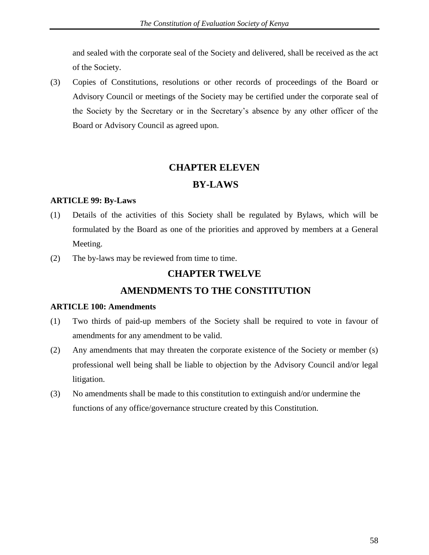and sealed with the corporate seal of the Society and delivered, shall be received as the act of the Society.

(3) Copies of Constitutions, resolutions or other records of proceedings of the Board or Advisory Council or meetings of the Society may be certified under the corporate seal of the Society by the Secretary or in the Secretary's absence by any other officer of the Board or Advisory Council as agreed upon.

# **CHAPTER ELEVEN**

# **BY-LAWS**

#### **ARTICLE 99: By-Laws**

- (1) Details of the activities of this Society shall be regulated by Bylaws, which will be formulated by the Board as one of the priorities and approved by members at a General Meeting.
- (2) The by-laws may be reviewed from time to time.

# **CHAPTER TWELVE**

# **AMENDMENTS TO THE CONSTITUTION**

#### **ARTICLE 100: Amendments**

- (1) Two thirds of paid-up members of the Society shall be required to vote in favour of amendments for any amendment to be valid.
- (2) Any amendments that may threaten the corporate existence of the Society or member (s) professional well being shall be liable to objection by the Advisory Council and/or legal litigation.
- (3) No amendments shall be made to this constitution to extinguish and/or undermine the functions of any office/governance structure created by this Constitution.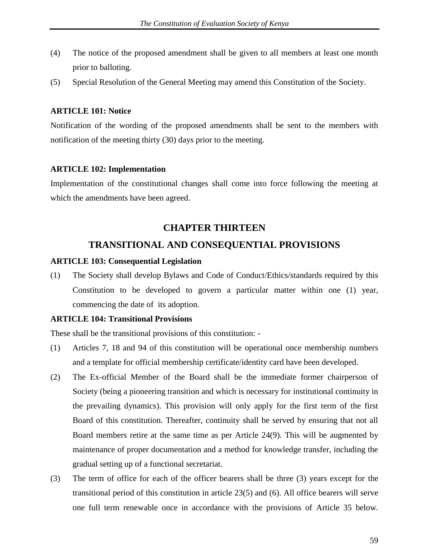- (4) The notice of the proposed amendment shall be given to all members at least one month prior to balloting.
- (5) Special Resolution of the General Meeting may amend this Constitution of the Society.

#### **ARTICLE 101: Notice**

Notification of the wording of the proposed amendments shall be sent to the members with notification of the meeting thirty (30) days prior to the meeting.

#### **ARTICLE 102: Implementation**

Implementation of the constitutional changes shall come into force following the meeting at which the amendments have been agreed.

#### **CHAPTER THIRTEEN**

### **TRANSITIONAL AND CONSEQUENTIAL PROVISIONS**

#### **ARTICLE 103: Consequential Legislation**

(1) The Society shall develop Bylaws and Code of Conduct/Ethics/standards required by this Constitution to be developed to govern a particular matter within one (1) year, commencing the date of its adoption.

#### **ARTICLE 104: Transitional Provisions**

These shall be the transitional provisions of this constitution: -

- (1) Articles 7, 18 and 94 of this constitution will be operational once membership numbers and a template for official membership certificate/identity card have been developed.
- (2) The Ex-official Member of the Board shall be the immediate former chairperson of Society (being a pioneering transition and which is necessary for institutional continuity in the prevailing dynamics). This provision will only apply for the first term of the first Board of this constitution. Thereafter, continuity shall be served by ensuring that not all Board members retire at the same time as per Article 24(9). This will be augmented by maintenance of proper documentation and a method for knowledge transfer, including the gradual setting up of a functional secretariat.
- (3) The term of office for each of the officer bearers shall be three (3) years except for the transitional period of this constitution in article 23(5) and (6). All office bearers will serve one full term renewable once in accordance with the provisions of Article 35 below.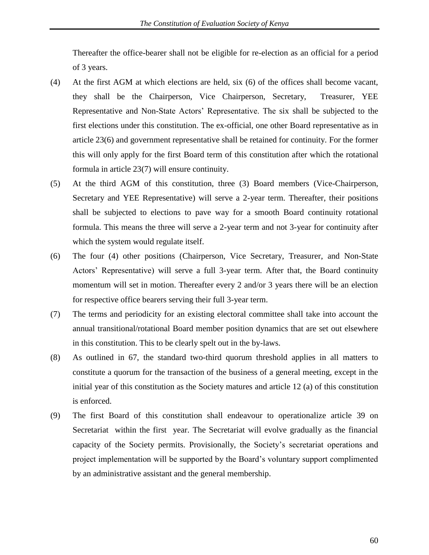Thereafter the office-bearer shall not be eligible for re-election as an official for a period of 3 years.

- (4) At the first AGM at which elections are held, six (6) of the offices shall become vacant, they shall be the Chairperson, Vice Chairperson, Secretary, Treasurer, YEE Representative and Non-State Actors' Representative. The six shall be subjected to the first elections under this constitution. The ex-official, one other Board representative as in article 23(6) and government representative shall be retained for continuity. For the former this will only apply for the first Board term of this constitution after which the rotational formula in article 23(7) will ensure continuity.
- (5) At the third AGM of this constitution, three (3) Board members (Vice-Chairperson, Secretary and YEE Representative) will serve a 2-year term. Thereafter, their positions shall be subjected to elections to pave way for a smooth Board continuity rotational formula. This means the three will serve a 2-year term and not 3-year for continuity after which the system would regulate itself.
- (6) The four (4) other positions (Chairperson, Vice Secretary, Treasurer, and Non-State Actors' Representative) will serve a full 3-year term. After that, the Board continuity momentum will set in motion. Thereafter every 2 and/or 3 years there will be an election for respective office bearers serving their full 3-year term.
- (7) The terms and periodicity for an existing electoral committee shall take into account the annual transitional/rotational Board member position dynamics that are set out elsewhere in this constitution. This to be clearly spelt out in the by-laws.
- (8) As outlined in 67, the standard two-third quorum threshold applies in all matters to constitute a quorum for the transaction of the business of a general meeting, except in the initial year of this constitution as the Society matures and article 12 (a) of this constitution is enforced.
- (9) The first Board of this constitution shall endeavour to operationalize article 39 on Secretariat within the first year. The Secretariat will evolve gradually as the financial capacity of the Society permits. Provisionally, the Society's secretariat operations and project implementation will be supported by the Board's voluntary support complimented by an administrative assistant and the general membership.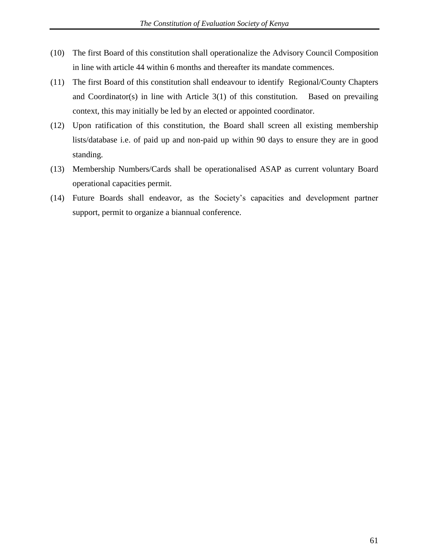- (10) The first Board of this constitution shall operationalize the Advisory Council Composition in line with article 44 within 6 months and thereafter its mandate commences.
- (11) The first Board of this constitution shall endeavour to identify Regional/County Chapters and Coordinator(s) in line with Article  $3(1)$  of this constitution. Based on prevailing context, this may initially be led by an elected or appointed coordinator.
- (12) Upon ratification of this constitution, the Board shall screen all existing membership lists/database i.e. of paid up and non-paid up within 90 days to ensure they are in good standing.
- (13) Membership Numbers/Cards shall be operationalised ASAP as current voluntary Board operational capacities permit.
- (14) Future Boards shall endeavor, as the Society's capacities and development partner support, permit to organize a biannual conference.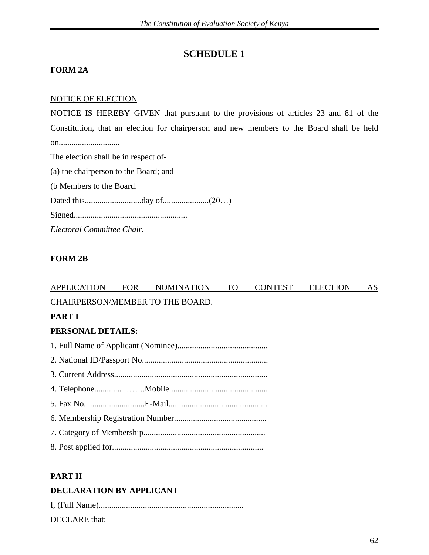# **SCHEDULE 1**

### **FORM 2A**

### NOTICE OF ELECTION

NOTICE IS HEREBY GIVEN that pursuant to the provisions of articles 23 and 81 of the Constitution, that an election for chairperson and new members to the Board shall be held on............................. The election shall be in respect of- (a) the chairperson to the Board; and (b Members to the Board.

Dated this...........................day of......................(20…)

Signed......................................................

*Electoral Committee Chair.*

# **FORM 2B**

# APPLICATION FOR NOMINATION TO CONTEST ELECTION AS CHAIRPERSON/MEMBER TO THE BOARD.

#### **PART I**

# **PERSONAL DETAILS:**

# **PART II**

# **DECLARATION BY APPLICANT**

| DECLARE that: |  |  |
|---------------|--|--|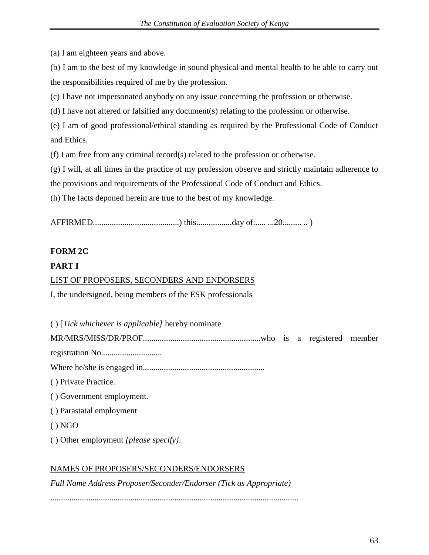(a) I am eighteen years and above.

(b) I am to the best of my knowledge in sound physical and mental health to be able to carry out the responsibilities required of me by the profession.

(c) I have not impersonated anybody on any issue concerning the profession or otherwise.

(d) I have not altered or falsified any document(s) relating to the profession or otherwise.

(e) I am of good professional/ethical standing as required by the Professional Code of Conduct and Ethics.

(f) I am free from any criminal record(s) related to the profession or otherwise.

(g) I will, at all times in the practice of my profession observe and strictly maintain adherence to

the provisions and requirements of the Professional Code of Conduct and Ethics.

(h) The facts deponed herein are true to the best of my knowledge.

AFFIRMED.........................................) this.................day of...... ...20......... .. )

# **FORM 2C**

# **PART I**

# LIST OF PROPOSERS, SECONDERS AND ENDORSERS

I, the undersigned, being members of the ESK professionals

( ) [*Tick whichever is applicable]* hereby nominate

MR/MRS/MISS/DR/PROF........................................................who is a registered member

registration No.............................

Where he/she is engaged in..........................................................

( ) Private Practice.

( ) Government employment.

( ) Parastatal employment

 $() NGO$ 

( ) Other employment *{please specify}.*

# NAMES OF PROPOSERS/SECONDERS/ENDORSERS

*Full Name Address Proposer/Seconder/Endorser (Tick as Appropriate)*

......................................................................................................................